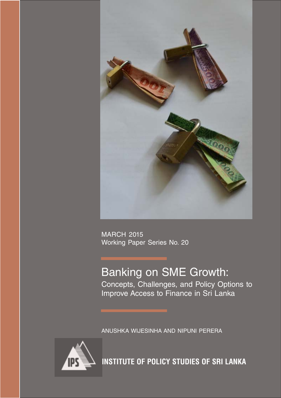

MARCH 2015 Working Paper Series No. 20

### Banking on SME Growth: Concepts, Challenges, and Policy Options to Improve Access to Finance in Sri Lanka

ANUSHKA WIJESINHA AND NIPUNI PERERA



**INSTITUTE OF POLICY STUDIES OF SRI LANKA**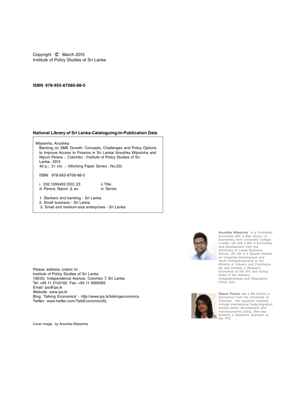Copyright **C** March 2015 Institute of Policy Studies of Sri Lanka

#### **ISBN 978-955-87080-88-0**

#### **National Library of Sri Lanka-Cataloguing-In-Publication Data**

 Wijesinha, Anushka Banking on SME Growth: Concepts, Challenges and Policy Options to Improve Access to Finance in Sri Lanka/ Anushka Wijesinha and Nipuni Perera .- Colombo : Institute of Policy Studies of Sri Lanka, 2015 40 p.; 21 cm. .- (Working Paper Series ; No.20)

ISBN 978-955-8708-88-0

i. 332.1095493 DDC 23 ii. Title<br>iii. Perera. Nipuni it. au ii. Iv. Series iii. Perera, Nipuni jt. au

- 1. Bankers and banking Sri Lanka
- 2. Small business Sri Lanka
- 3. Small and medium-size enterprises Sri Lanka



Cover image: by Anushka Wijesinha



**Anushka Wijesinha** is a Consultant Economist with a BSc (Hons.) in Economics from University College London, UK and a MA in Economics and Development from the University of Leeds Business School, UK. He is a Special Advisor on Industrial Development and Youth Entrepreneurship to the Ministry of Industry and Commerce. He was formerly a Research Economist at the IPS and Acting Head of the Industry, Competitiveness and Regulatory Policy Unit.



**Nipuni Perera** has a BA (Hons) in Economics from the University of Colombo. Her research interests include international trade,migration, private sector development and macroeconomic policy. She was formerly a Research Assistant at the IPS.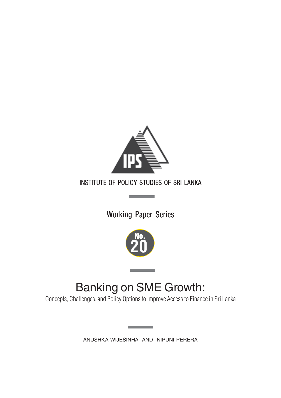

### INSTITUTE OF POLICY STUDIES OF SRI LANKA

**Contract Contract** 

### Working Paper Series



## Banking on SME Growth:

Concepts, Challenges, and Policy Options to Improve Access to Finance in Sri Lanka

ANUSHKA WIJESINHA AND NIPUNI PERERA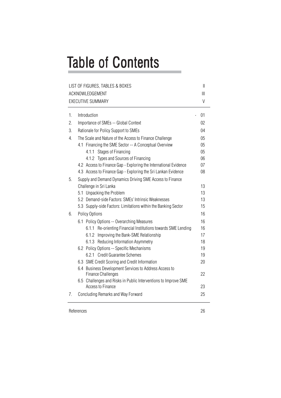# **Table of Contents**

| LIST OF FIGURES, TABLES & BOXES |                                                                                      |              |  |  |
|---------------------------------|--------------------------------------------------------------------------------------|--------------|--|--|
|                                 | ACKNOWLEDGEMENT                                                                      | $\mathbb{H}$ |  |  |
|                                 | <b>EXECUTIVE SUMMARY</b>                                                             | $\vee$       |  |  |
| 1.                              | Introduction                                                                         | 01           |  |  |
| 2.                              | Importance of SMEs -- Global Context                                                 | 02           |  |  |
| 3.                              | Rationale for Policy Support to SMEs                                                 |              |  |  |
| 4.                              | The Scale and Nature of the Access to Finance Challenge                              |              |  |  |
|                                 | 4.1 Financing the SME Sector -- A Conceptual Overview                                | 05           |  |  |
|                                 | 4.1.1 Stages of Financing                                                            | 05           |  |  |
|                                 | 4.1.2 Types and Sources of Financing                                                 | 06           |  |  |
|                                 | 4.2 Access to Finance Gap - Exploring the International Evidence                     | 07           |  |  |
|                                 | 4.3 Access to Finance Gap - Exploring the Sri Lankan Evidence                        | 08           |  |  |
| 5.                              | Supply and Demand Dynamics Driving SME Access to Finance                             |              |  |  |
|                                 | Challenge in Sri Lanka                                                               | 13           |  |  |
|                                 | 5.1 Unpacking the Problem                                                            | 13           |  |  |
|                                 | 5.2 Demand-side Factors: SMEs' Intrinsic Weaknesses                                  | 13           |  |  |
|                                 | 5.3 Supply-side Factors: Limitations within the Banking Sector                       | 15           |  |  |
| 6.                              | Policy Options                                                                       | 16           |  |  |
|                                 | 6.1 Policy Options -- Overarching Measures                                           | 16           |  |  |
|                                 | 6.1.1 Re-orienting Financial Institutions towards SME Lending                        | 16           |  |  |
|                                 | 6.1.2 Improving the Bank-SME Relationship                                            | 17           |  |  |
|                                 | 6.1.3 Reducing Information Asymmetry                                                 | 18           |  |  |
|                                 | 6.2 Policy Options -- Specific Mechanisms                                            | 19           |  |  |
|                                 | 6.2.1 Credit Guarantee Schemes                                                       | 19           |  |  |
|                                 | 6.3 SME Credit Scoring and Credit Information                                        | 20           |  |  |
|                                 | 6.4 Business Development Services to Address Access to<br><b>Finance Challenges</b>  | 22           |  |  |
|                                 | 6.5 Challenges and Risks in Public Interventions to Improve SME<br>Access to Finance | 23           |  |  |
| 7.                              | Concluding Remarks and Way Forward                                                   | 25           |  |  |

References 26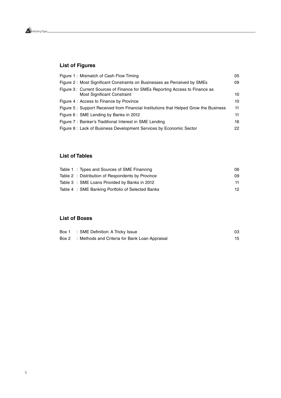

#### **List of Figures**

| Figure 1: Mismatch of Cash Flow Timing                                                                      | 05 |
|-------------------------------------------------------------------------------------------------------------|----|
| Figure 2: Most Significant Constraints on Businesses as Perceived by SMEs                                   | 09 |
| Figure 3: Current Sources of Finance for SMEs Reporting Access to Finance as<br>Most Significant Constraint | 10 |
| Figure 4: Access to Finance by Province                                                                     | 10 |
| Figure 5: Support Received from Financial Institutions that Helped Grow the Business                        | 11 |
| Figure 6: SME Lending by Banks in 2012                                                                      | 11 |
| Figure 7: Banker's Traditional Interest in SME Lending                                                      | 16 |
| Figure 8: Lack of Business Development Services by Economic Sector                                          | 22 |

### **List of Tables**

|  | Table 1: Types and Sources of SME Financing       | 06.             |
|--|---------------------------------------------------|-----------------|
|  | Table 2 : Distribution of Respondents by Province | 09              |
|  | Table 3 : SME Loans Provided by Banks in 2012     | 11.             |
|  | Table 4 : SME Banking Portfolio of Selected Banks | 12 <sup>°</sup> |

#### **List of Boxes**

| Box 1 | : SME Definition: A Tricky Issue               | 03 |
|-------|------------------------------------------------|----|
| Box 2 | : Methods and Criteria for Bank Loan Appraisal |    |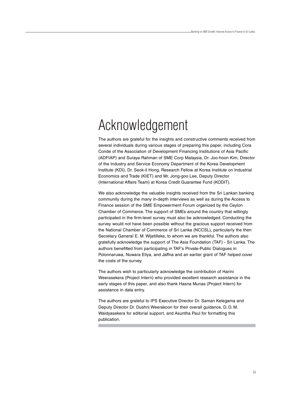## Acknowledgement

The authors are grateful for the insights and constructive comments received from several individuals during various stages of preparing this paper, including Cora Conde of the Association of Development Financing Institutions of Asia Pacific (ADFIAP) and Suraya Rahman of SME Corp Malaysia, Dr. Joo-hoon Kim, Director of the Industry and Service Economy Department of the Korea Development Institute (KDI), Dr. Seok-il Hong, Research Fellow at Korea Institute on Industrial Economics and Trade (KIET) and Mr. Jong-goo Lee, Deputy Director (International Affairs Team) at Korea Credit Guarantee Fund (KODIT).

We also acknowledge the valuable insights received from the Sri Lankan banking community during the many in-depth interviews as well as during the Access to Finance session of the SME Empowerment Forum organized by the Ceylon Chamber of Commerce. The support of SMEs around the country that willingly participated in the firm-level survey must also be acknowledged. Conducting the survey would not have been possible without the gracious support received from the National Chamber of Commerce of Sri Lanka (NCCSL), particularly the then Secretary General E. M. Wijetilleke, to whom we are thankful. The authors also gratefully acknowledge the support of The Asia Foundation (TAF) - Sri Lanka. The authors benefitted from participating in TAF's Private-Public Dialogues in Polonnaruwa, Nuwara Eliya, and Jaffna and an earlier grant of TAF helped cover the costs of the survey.

The authors wish to particularly acknowledge the contribution of Harini Weerasekera (Project Intern) who provided excellent research assistance in the early stages of this paper, and also thank Hasna Munas (Project Intern) for assistance in data entry.

The authors are grateful to IPS Executive Director Dr. Saman Kelegama and Deputy Director Dr. Dushni Weerakoon for their overall guidance, D. D. M. Waidyasekera for editorial support, and Asuntha Paul for formatting this publication.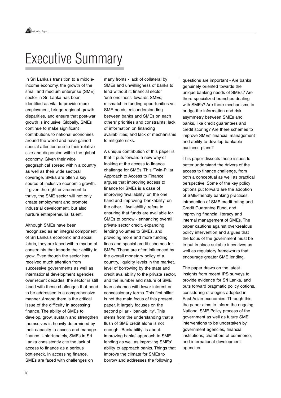## Executive Summary

In Sri Lanka's transition to a middleincome economy, the growth of the small and medium enterprise (SME) sector in Sri Lanka has been identified as vital to provide more employment, bridge regional growth disparities, and ensure that post-war growth is inclusive. Globally, SMEs continue to make significant contributions to national economies around the world and have gained special attention due to their relative size and dispersion within the global economy. Given their wide geographical spread within a country as well as their wide sectoral coverage, SMEs are often a key source of inclusive economic growth. If given the right environment to thrive, the SME sector will not only create employment and promote industrial development, but also nurture entrepreneurial talent.

Although SMEs have been recognized as an integral component of Sri Lanka's economic and social fabric, they are faced with a myriad of constraints that impede their ability to grow. Even though the sector has received much attention from successive governments as well as international development agencies over recent decades, the sector is still faced with these challenges that need to be addressed in a comprehensive manner. Among them is the critical issue of the difficulty in accessing finance. The ability of SMEs to develop, grow, sustain and strengthen themselves is heavily determined by their capacity to access and manage finance. Unfortunately, SMEs in Sri Lanka consistently cite the lack of access to finance as a serious bottleneck. In accessing finance, SMEs are faced with challenges on

many fronts - lack of collateral by SMEs and unwillingness of banks to lend without it; financial sector 'unfriendliness' towards SMEs; mismatch in funding opportunities vs. SME needs; misunderstanding between banks and SMEs on each others' priorities and constraints; lack of information on financing availabilities; and lack of mechanisms to mitigate risks.

A unique contribution of this paper is that it puts forward a new way of looking at the access to finance challenge for SMEs. This 'Twin-Pillar Approach to Access to Finance' argues that improving access to finance for SMEs is a case of improving 'availability' on the one hand and improving 'bankability' on the other. 'Availability' refers to ensuring that funds are available for SMEs to borrow - enhancing overall private sector credit, expanding lending volumes to SMEs, and providing more and more funding lines and special credit schemes for SMEs. These are often influenced by the overall monetary policy of a country, liquidity levels in the market, level of borrowing by the state and credit availability to the private sector, and the number and nature of SME loan schemes with lower interest or concessionary terms. This first pillar is not the main focus of this present paper. It largely focuses on the second pillar - 'bankability'. This stems from the understanding that a flush of SME credit alone is not enough. 'Bankability' is about improving banks' approach to SME lending as well as improving SMEs' ability to approach banks. Things that improve the climate for SMEs to borrow and addresses the following

questions are important - Are banks genuinely oriented towards the unique banking needs of SMEs? Are there specialized branches dealing with SMEs? Are there mechanisms to bridge the information and risk asymmetry between SMEs and banks, like credit guarantees and credit scoring? Are there schemes to improve SMEs' financial management and ability to develop bankable business plans?

This paper dissects these issues to better understand the drivers of the access to finance challenge, from both a conceptual as well as practical perspective. Some of the key policy options put forward are the adoption of SME-friendly banking practices, introduction of SME credit rating and Credit Guarantee Fund, and improving financial literacy and internal management of SMEs. The paper cautions against over-zealous policy intervention and argues that the focus of the government must be to put in place suitable incentives as well as regulatory frameworks that encourage greater SME lending.

The paper draws on the latest insights from recent IPS surveys to provide evidence for Sri Lanka, and puts forward pragmatic policy options, considering strategies adopted in East Asian economies. Through this, the paper aims to inform the ongoing National SME Policy process of the government as well as future SME interventions to be undertaken by government agencies, financial institutions, chambers of commerce, and international development agencies.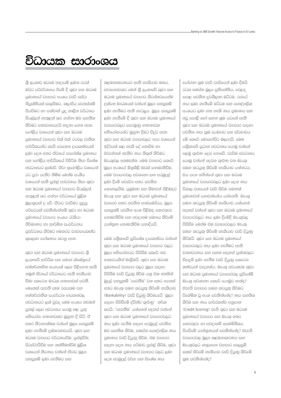## විධායක සාරාංශය

ශී ලංකාව මධාෂ ආදායම් ලබන රටක් බවට පරිවර්තනය වීමේ දී කුඩා සහ මධාපම පුමාණයේ ව**සාපාර අංශය වැඩි** සේවා නියුක්තියක් සැලසීමට, කලාපීය වෙනස්කම් පියවීමට හා පශ්චාත් යුදු කාලීන වර්ධනය සියල්ලන් ඇතුළත් කර ගන්නා බව සහතික කිරීමට අත¤වශ¤යැයි හඳනා ගෙන ඇත. ගෝලීය වශයෙන් කුඩා සහ මධාෂ පුමාණයේ වසාපාර එක් එක් රටවල ජාතික ආර්ථිකයන්ට කැපී පෙනෙන දායකත්වයක් ලබා දෙන අතර ඒවායේ සාපේක්ෂ පුමාණය සහ ගෝලීය ආර්ථිකයේ විසිරීම නිසා විශේෂ අවධානයට ලක්වේ. ඒවා භූගෝලීය වශයෙන් රට පුරා පැතිර තිබීම මෙන්ම අංශීය වශයෙන් ඇති පුළුල් ආවරණය නිසා කුඩා සහ මධාම පුමාණයේ වසාපාර සියල්ලන් ඇතුළත් කර ගන්නා වර්ධනයේ මුලික මුලාශයක් ද වේ. ඒවාට වැඩීමට සුදුසු පරිසරයක් පවතින්නේනම් කුඩා හා මධාපම පුමාණයේ වහපාර අංශය රැකියා නිර්මාණය හා කාර්මික සංවර්ධනය පුවර්ධනය කිරීමට අමතරව ව<sup>පු</sup>වසායකත්ව කුසලතා පෝෂණය කරනු ඇත.

කුඩා සහ මධාම පුමාණයේ වසාපාර ශී ලංකාවේ ආර්ථික සහ සමාජ ක්ෂේතුයේ අන්තර්ගෘහිත අංගයක් ලෙස පිළිගෙන ඇති නමුත් ඒවායේ වර්ධනයට ඇති හැකියාව සීමා කෙරෙන බාධක ගණනාවක් පවතී. මෙතෙක් පැවති සෑම රජයකම සහ අන්තර්ජාතික සංවර්ධන ආයතනවල අවධානයට ලක් වුවද මෙම අංශය තවමත් පුළුල් ලෙස අවධානය යොමු කළ යුතු අභියෝග ගණනාවකට මුහුණ දී සිටී. ඒ අතර තීරණාත්මක වන්නේ මුලඝ පහසුකම් ලබා ගැනීමේ දුෂ්කරතාවයයි. කුඩා සහ මධා වනාපාර වර්ධනයවීම, පුළුල්වීම, චිරස්ථායීවීම සහ ශක්තිමත්වීම මුලික වශයෙන් තීරණය වන්නේ ඒවාට මූල¤ පහසුකම් ලබා ගැනීමට සහ

කළමනාකරණයට ඇති හැකියාව මතය. අවාසනාවකට මෙන් ශුී ලංකාවේ කුඩා සහ මධාපම පුමාණයේ වාාපාර නිරන්තරයෙන්ම cක්වන බාධකයක් වන්නේ මුල<sup>සු</sup> පහසුකම් ලබා ගැනීමට ඇති ගැටලුය. මූල¤ පහසුකම් ලබා ගැනීමේ දී කුඩා සහ මධාපම පුමාණයේ වසාපාරවලට පෙරමුණු ගණනාවක අභියෝගයන්ට මුහුණ දීමට සිදුව ඇත. කුඩා සහ මධාපම වනපාවලට ඇප වශයෙන් ඉදිරිපත් කළ හැකි දේ නොවීම හා එවැන්නක් නැතිව ණය නිකුත් කිරීමට බැංකුවල අකමැත්ත, මෙම වඝාපාර කෙරේ මූල¤ අංශයේ මිතුශීලී බවක් නොමැතිවීම, මෙම වසාපාරවල අවශසතා සහ අරමුදල් ලබා දීමේ අවස්ථා අතර පවතින නොගැලපීම, පුමුබතා සහ සීමාවන් පිළිබඳව බැංකු සහ කුඩා සහ මධාපම පුමාණයේ වසාපාර අතර පවතින අනවබෝධය, මූලඝ පහසුකම් පවතින අංශ පිළිබඳ තොරතුරු නොමැතිවීම සහ අවදානම සමනය කිරීමේ යාන්තුණ නොමැතිවීම යනාදියයි.

මෙම පතිකාවේ සුවිශේෂ දායකත්වය වන්නේ කුඩා සහ මධාපම පුමාණයේ වාාපාර වලට මල<sup>ප</sup> අභියෝගයට පිවිසීම කෙරේ නව ආකාරයකින් බැලීමයි. කුඩා සහ මධාපම පමාණයේ වසාපාර වලට මල<sup>ස සඳහා</sup> පිවිසීම වැඩි දියුණු කිරීම යනු එක අතකින් මුදල් පහසුකම් 'පැවතීම' වන අතර අනෙක් අතට බැංකු සමග කටයුතු කිරීමේ හැකියාව (Bankability) වැඩි දියුණු කිරීමයැයි 'මූල¤ සඳහා පිවිසීමේ ද්විත්ව කුළුණු' තර්ක කරයි. `පැවතීම' යන්නෙන් අදහස් වන්නේ කුඩා සහ මධාප පුමාණයේ වාපාරවලට ණය ලබා ගැනීම සඳහා අරමුදල් පවතින බව සහතික කිරීම, සමස්ත පෞද්ගලික ණය පුමාණය වැඩි දියුණු කිරීම, එම වසාපාර සඳහා දෙන ණය පරිමාව පුළුල් කිරීම, කුඩා සහ මධාප පුමාණයේ වාහපාර වලට ලබා දෙන අරමුදල් වර්ග සහ විශේෂ ණය

යෝජනා කුම වැඩි වැඩියෙන් ලබා දීමයි. රටක සමස්ත මූල¤ පුතිපත්තිය, වෙළඳ පොළ පවතින දුවශීලතා මට්ටම, රජයේ ණය ලබා ගැනීමේ මට්ටම සහ පෞද්ගලික අංශයට ලබා ගත හැකි ණය පුමාණය සහ අඩු පොලී හෝ සහන කුම යටතේ ඇති කුඩා සහ මධාපම පුමාණයේ වාහපාර සඳහා පවතින ණය කුම සංඛතාව සහ ස්වභාවය මේ කෙරේ බොහෝවිට බලපායි. මෙම පතිකාවේ පුධාන අවධානය යොමු වන්නේ පළමු කුළුණ දෙස නොවේ. වැඩිම අවධානය @යාම වන්නේ දෙවන කුළුණා වන බැංකු සමග කටයුතු කිරීමේ හැකියාව යන්නටය. එය පැන නගින්නේ කුඩා සහ මධාෂ පුමාණයේ වසාපාරවලට ලබා දෙන ණය විශාල වශයෙන් වැඩි කිරීම පමණක් පුමාණවත් නොවන්නේය යන්නෙනි. බැංකු සමග කටයුතු කිරීමේ හැකියාව යන්නෙන් අදහස් වන්නේ කුඩා සහ මධාපම පුමාණයේ වසාපාරවලට ණය ලබා දීමේදී බැංකුවල පිවිසීම මෙන්ම එම වසාපාරවලට බැංකු සමග කටයුතු කිරීමේ හැකියාව වැඩි දි<u>යු</u>ණු කිරීමයි. කුඩා සහ මධාපම පුමාණයේ වෘපාරවලට ණය ලබා ගැනීමට ඇති වාතාවරණය සහ පහත සඳහන් පුශ්නවලට විසඳුම් ලබා ගැනීම වැඩි දියුණු කෙරෙන නත්වයන් වැදගත්ය. බැංකු අවංකවම කුඩා සහ මධාප පුමාණයේ වාහපාරවල සුවිශේෂී බැංකු අවශානා කෙරේ යොමුව ඇත්ද? එවැනි වසාපාර සමග කටයුතු කිරීමට විශේෂිත වූ අංශ පවතින්නේද? ණය සහතික කිරීම සහ ණය සාර්ථකත්ව අනුපාත (Credit Scoring) වැනි කුඩා සහ මධාෂ පුමාණයේ වසාපාර සහ බැංකු අතර තොරතුරු හා අවදානම් අසමමිතිකය පියවීමේ යාන්තුණයන් පවතින්නේද? එවැනි වසාපාරවල මූලස කළමනාකරණය සහ බැංකුවලට ගැලපෙන වසාපාර සැලසුම් සකස් කිරීමේ හැකියාව වැඩි දියුණු කිරීමේ කුම පවතින්නේද?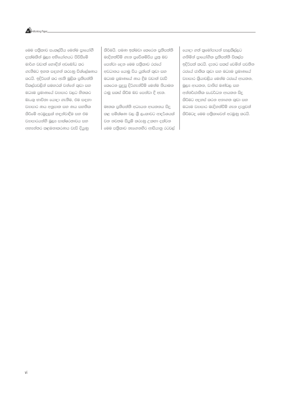Working Paper.

මෙම පතිකාව සංකල්පීය මෙන්ම පායෝගී දැක්මකින් මූල¤ අභියෝගයට පිවිසීමේ මාර්ග වඩාත් නොඳින් අවබෝධ කර ගැනීමට ඉහත සඳහන් කරුණු විශ්ලේෂණය කරයි. ඉදිරිපත් කර ඇති මුලික පුතිපත්ති විකල්පවලින් සමහරක් වන්නේ කුඩා සහ මධා පමාණයේ වාාපාර වලට නිතකර බැංකු භාවිතා යොදා ගැනීම, එම සඳහා වසාපාර ණය අනුපාත සහ ණය සහතික කිරීමේ අරමුදලක් හඳුන්වාදීම සහ එම වසාපාරයන්හි මුල¤ සාක්ෂරතාවය සහ අභෳන්තර කළමනාකරණය වැඩි දියුණු

කිරීමයි. පමණ ඉක්මවා කෙරෙන පුතිපත්ති මැදිහත්වීම් ගැන පුවේශම්විය යුතු බව පෙන්වා දෙන මෙම පතිුකාව රජයේ අවධානය යොමු විය යුත්තේ කුඩා සහ මධාප පුමාණයේ ණය දීම වඩාත් වැඩි eකරෙන සුදුසු දිරිගැන්වීම් මෙන්ම නියාමන රාමු සකස් කිරීම බව පෙන්වා දී ඇත.

මෑතක පුතිපත්ති අධයයන ආයතනය සිදු කළ සමීක්ෂණ වල ශී ලංකාවට ආදර්ශයක් වන නවතම සියුම් කරුණු උකතා දක්වන මෙම පතිුකාව නැගෙනහිර ආසියානු රටවල් යොදා ගත් කුමෝපායන් සැලකිල්ලට ගනිමින් පායෝගික පුතිපත්ති විකල්ප ඉදිරිපත් කරයි. දැනට සකස් වෙමින් පවතින රජයේ ජාතික කුඩා සහ මධාපම පුමාණයේ වසාපාර කියාවලිය මෙන්ම රජයේ ආයතන, මුල% ආයතන, වානිජ මණ්ඩල සහ අන්තර්ජාතික සංවර්ධන ආයතන සිදු කිරීමට අදහස් කරන අනාගත කුඩා සහ මධා වෙනපාර මැදිහත්වීම් ගැන දැනුවත් කිරීමටද මෙම පතිකාවෙන් අරමුණු කරයි.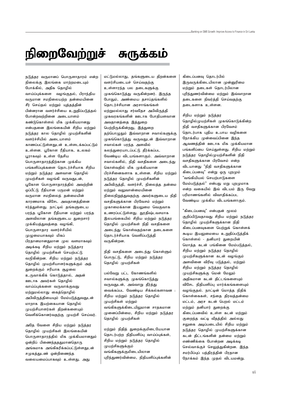## நிறைவேற்றுச் சுருக்கம்

நடுத்தர வருமானப் பொருளாதாரம் என்ற நிலைக்கு இலங்கை மாற்றமடையும் போக்கில், அதிக தொழில் வாய்ப்புக்களை வழங்குதல், பிராந்திய வருமான சமநிலையற்ற தன்மையினை சீர் செய்தல் மற்றும் யுத்தத்தின் பின்னரான வளர்ச்சியை உறுதிப்படுத்தல் போன்றவற்றினை அடையாளம் கண்டுகொள்ளல் மிக முக்கியமானது என்பதனை இலங்கையின் சிறிய மற்றும் நடுத்தர கால தொழில் முயற்சிகளின் வளர்ச்சியில் அடையாளம் காணப்பட்டுள்ளதுடன் உள்ளடக்கப்பட்டும் உள்ளன. பூகோள ரீதியாக, உலகம் பூராகவும் உள்ள தேசிய பொருளாதாரத்திற்கான முக்கிய பங்களிப்புக்களை தொடர்ச்சியாக சிறிய மற்றும் நடுத்தர அளவான தொழில் முயற்சிகள் வழங்கி வருவதுடன், பூகோள பொருளாதாரத்தில் அவற்றின் ஒப்பீட்டு ரீதியான பருமன் மற்றும் வருமான சமநிலைத் தன்மையின் காரணமாக விசேட அவதானத்தினை ஈர்த்துள்ளது. நாட்டில் தங்களுடைய பரந்த பூகோள ரீதியான மற்றும் பரந்த அளவிலான தங்களுடைய துறைசார் முக்கியத்துவத்தை வழங்கி, பொருளாகார வளர்ச்சியில் முழுமையாகவும் மிகப் பிரதானமானதுமான முல வளமாகவும் அடிக்கடி சிறிய மற்றும் நடுத்தார தொழில் முயற்சிகள் செயற்பட்டு வருிகின்றன. சிறிய மற்றும் நடுத்தர தொழில் முயற்சியாளர்களுக்கும் அத் குறைக்கும் சரியாக சூமலை உருவாக்கிக் கொடுத்தால், அதன் ஊடாக அவர்கள் தொழில் வாய்ப்புக்களை வருவாக்குவது மற்றுமல்லாது கைத்தொழில் அபிவிருத்தியையும் மேம்படுத்துவதுடன் மாறாக இயற்கையான கொமில் முயற்சியாளர்கள் கிறன்களையும் வெளிக்கொனர்வதற்கு முயற்சி செய்வர்.

அதே வேளை சிறிய மற்றும் நடுத்தர தொழில் முயற்சிகள் இலங்கையின் பொருளாதாரத்தில் மிக முக்கியமானதும் ஒன்றிப் பிணைந்தததுமானதொரு அங்கமாக அங்கிகரிக்கப்பட்டுள்ளதுடன் சமுகத்துடண் ஒன்றிணைந்த வலையமைப்பாகவும் உள்ளது. அது

மட்டுமல்லாது, தங்களுடைய திறன்களை வளர்சியடையச் செய்வதற்கு உள்ளாரந்த பல தடைகளுக்கு முகங்கொடுத்து வருகின்றனர். இருந்த போதும், அண்மைய தசாப்தங்களில் கொடர்ச்சியான அரசாங்கங்கள் மற்றுமல்லாது சர்வதேச அபிவிருத்தி முகவரகங்களின் ஊடாக போதியளவான அவதானத்தை இத்துறை பெற்றிருக்கின்றது, இத்துறை தற்பொழுதும் இவ்வாறான சவால்களுக்கு முகங்கொடுத்து வருவதுடன் இவ்வாறான சவால்கள் பரந்த அளவில் கலந்துரையாடப்பட்டு தீர்க்கப்பட வேண்டிய விடயங்களாகும். அவ்வாறான சவால்களில், நிதி வசதிகளை அடைந்து கொள்வதில் மிக முக்கியமான பிரச்சினைகளாக உள்ளன. சிறிய மற்றும் நடுத்தர தொழில் முயற்சிகளின் அபிவிருத்தி, வளர்ச்சி, நிலைத்த தன்மை மற்றும் வலுவான்மையினை நிலைநிறுத்துவதற்கு அவர்களுடைய நிதி வசதிகளுக்கான பிரவேசம் மற்றும் முகாமைக்கான இயலுமை வெகுவாக உணரப்பட்டுள்ளது. துரதிஷ்டவசமாக இலயங்கையில் சிறிய மற்றும் நடுத்தர தொழில் முயற்சிகள் நிதி வசதிகளை அடைந்து கொள்வதற்கான தடைகளை தொடர்ச்சியாக வெளிப்படுத்தி வருகின்றன.

நிதி வசதிகளை அடைந்து கொள்ளும் பொருட்டு, சிறிய மற்றும் நடுத்தர தொழில் முயற்சிகள்

பல்வேறு பட்ட கோணங்களில் சவால்களுக்கு முகங்கொடுத்து வருவதுடன், அவ்வாறு தீர்த்து வைக்கப்பட வேண்டிய சிக்கல்களாவன : சிறிய மற்றும் நடுத்தர தொழில் முயற்சிகள் மற்றும் வங்கிகளுக்கிடையிலுமான சாதகமான முனைப்பின்மை, சிறிய மற்றும் நடுத்தர தொழில் முயற்சிகள்

மற்றும் நிகிக் குறைக்குமிடையேயான கொடர்பற்ற நிகியளிப்பு வாய்ப்பக்கள். சிறிய மற்றும் நடுத்தர தொழில் (ழயற்சிகளுக்கும் வங்கிகளுக்குமிடையிலான புரிந்துணர்வின்மை, நிதியளிப்புக்களின்

கிடைப்பனவு தொடர்பில் இருவருக்கிடையிலான முன்னுரிமை மற்றும் தடைகள் தொடர்பிலான புரிந்துணர்வின்மை மற்றும் இவ்வாறான தடைகளை நிவர்த்தி செய்வதற்கு கடைகளாக உள்ளன.

சிறிய மற்றும் நடுத்தர தொழில்முயற்சிகள் முகங்கொடுக்கின்ற நிதி வசதிகளுக்கான பிரவேசம் தொடர்பாக புதிய உபாய வழிகளை நோக்கிய முன்வைப்பினை இந்த ஆவணக்கின் ஊடாக மிக முக்கியமான பங்களிப்பை செய்துள்ளது. சிறிய மற்றும் நடுத்தர தொழில்முயற்சிகளின் நிதி வசகிகளுக்கான பிாவேசம் என்ற விடயானது "நிதி வசதிகளுக்கான கிடைப்பனவு" என்று ஒரு புறமும் ,<br>"வங்கியியல் செயற்பாடுகளை மேம்படுத்தல்" என்பது மறு புறமுமாக என்ற வகையில் இவ் விடயம் இரு வேறு பரிமாணங்களில் விவாகிக்கப்பட வேண்டிய முக்கிய விடயங்களாகும்.

"கிடைப்பனவு" என்பதன் மூலம் குறிப்பிடுவதாவது சிறிய மற்றும் நடுத்தர தொழில் முயற்சிகளுக்கான நிதி கிடைப்பனவுகளை பெற்றுக் கொள்ளக் கூடிய இயலுமையை உறுதிப்படுத்திக் கொள்ளல் - தனியார் துறையின் மொத்த கடன் பங்கினை மேம்படுத்தல், சிறிய மற்றும் நடுத்தர தொழில் முயற்சிகளுக்கான கடன் வழங்கும் அளவினை விரிவு படுத்தல், மற்றும் சிறிய மற்றும் நடுத்தர தொழில் முயற்சிகளுக்கு மென் மேலும் அதிகமான கடன் திட்டங்களையும் விசேட நிதியளிப்பு மார்க்கங்களையும் வழங்குதல். நாட்டின் மொத்த நிதிக் கொள்கைகள், சந்தை கிரவத்தன்மை மட்டம், அரச கடன் பெறல் மட்டம் மற்றும் தனியார் துறைக்கு கிடைப்பனவில் உள்ள கடன் மற்றும் குறைந்த வட்டி வீதத்தில் அல்லது சலுகை அடிப்படையில் சிறிய மற்றும் நடுத்தர தொழில் முயற்சிகளுக்கான கடன் திட்டங்களின் தன்மை மற்றும் எண்ணிக்கை போன்றன அடிக்கடி செல்வாக்குச் செலுத்துகின்றன. இந்த சமர்பிப்புப் பத்திரத்தின் பிரதான நோக்கம் இந்த முதல் விடயமன்று.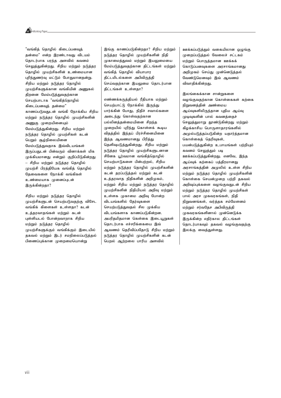

"வங்கித் தொழில் கிடைப்பனவுத் கன்மை" என்ற இரண்டாவது விடயம் தொடர்பாக பரந்த அளவில் கவனம் செலுத்துகின்றது. சிறிய மற்றும் நடுத்தர தொழில் முயற்சிகளின் உண்மையான புரிந்துணர்வு மட்டும் போதுமானதன்று. சிறிய மற்றும் நடுத்தர தொழில் முயற்சிகளுக்கான வங்கியின் அணுகல் திறனை மேம்படுத்துவதற்கான செயற்பாடாக "வங்கித்தொழில் கிடைப்பனவுத் தன்மை" காணப்படுவதுடன் வங்கி நோக்கிய சிறிய மற்றும் நடுத்தர தொழில் முயற்சிகளின் அணுகு முறையினையும் மேம்படுத்துகின்றது. சிறிய மற்றும் நடுத்தர தொழில் முயற்சிகள் கடன் பெறும் சூழ்நிலையினை மேம்படுத்துவதாக இவ்விடயங்கள் இருப்பதுடன் பின்வரும் வினாக்கள் மிக முக்கியமானது என்றும் குறிப்பிடுகின்றது -- சிறிய மற்றும் நடுத்தர தொழில் முயற்சி பிரத்தியேக வங்கித் தொழில் கேவைகளை நோக்கி வங்கிகள் உண்மையாக முனைப்புடன் இருக்கின்றதா?

சிறிய மற்றும் நடுத்தர தொழில் முயற்சிகளுடன் செயற்படுவதற்கு விசேட வங்கிக் கிளைகள் உள்ளதா? கடன் உத்தரவாதங்கள் மற்றும் கடன் புள்ளியடல் போன்றவாறாக சிறிய மற்றும் நடுத்தர தொழில் முயற்சிகளுக்கும் வங்கிக்கும் இடையில் தகவல் மற்றும் இடர் சமநிலைப்படுத்தல் பிணைப்புக்கான முறைமையொன்று

இங்கு காணப்படுகின்றதா? சிறிய மற்றும் நடுத்தர தொழில் முயற்சிகளின் நிதி முகாமைத்துவம் மற்றும் இயலுமையை மேம்படுத்துவதற்கான திட்டங்கள் மற்றும் வங்கிக் கொமில் வியாபார திட்டமிடல்களை அபிவிருத்தி செய்வதற்கான இயலுமை தொடர்பான திட்டங்கள் உள்ளதா?

எண்ணக்கருத்தியல் ரீதியாக மற்றும் செயற்பாட்டு நோக்கில் இருந்து பார்க்கின் போது, நிதிச் சவால்களை அடைந்து கொள்வதற்கான பல்லினத்தன்மையினை சிறந்த முறையில் புரிந்து கொள்ளக் கூடிய விதத்தில் இந்தப் பிரச்சினையினை இந்த ஆவணமானது பிரித்து தெளிவுபடுத்துகின்றது. சிறிய மற்றும் நடுத்தர தொழில் முயற்சிகளுடனான சினேக பூர்வமான வங்கித்தொழில் செயற்பாடுகளை பின்பற்றல், சிறிய மற்றும் நடுத்தர தொழில் முயற்சிகளின் கடன் தரப்படுத்தல் மற்றும் கடன் உத்தரவாத நிதிகளின் அறிமுகம், மற்றும் சிறிய மற்றும் நடுக்கா கொமில் முயற்சிகளின் நிகியியல் அறிவ மற்றும் உள்ளக முகாமை அறிவு போன்ற விடயங்களில் தேர்வுகளை செயற்படுத்துவதல் சில முக்கிய விடயங்களாக காணப்படுகின்றன. அபரிதமிதமான கெள்கை இடையூறுகள் தொடர்பாக எச்சரிக்கையை இவ் ஆவணம் தெரிவிப்பதோடு சிறிய மற்றும் நடுத்தர தொழில் முயற்சிகளின் கடன் பெறல் ஆற்றலை பாரிய அளவில்

ஊக்கப்படுத்தும் வகையிலான ஒழுங்கு முறைப்படுத்தல் வேலைச் சட்டகம் மற்றும் பொருத்தமான ஊக்கக் கொடுப்பனவகளை அாசாங்கமானகு அறிமுகம் செய்து முன்னெடுத்தல் வேண்டுமெனவும் இவ் ஆவணம் விவாகிக்கின்றது.

இலங்கைக்கான சான்றுகளை வழங்குவதற்கான கொள்கைகள் கற்கை நிறுவனத்தின் அண்மைய ஆய்வுகளிலிருந்தான புதிய ஆய்வு முடிவுகளின் பால் கவனத்தைச் செலுத்துமாறு தூண்டுகின்றது மற்றும் கிழக்காசிய பொருளாதாரங்களில் அமுல்படுத்தப்படுகின்ற யதார்த்தமான கொள்கைத் தெரிவுகள், பயன்படுத்துகின்ற உபாயங்கள் பற்றியும் கவனம் செலுத்தும் படி ஊக்கப்படுத்துகின்றது. எனவே, இந்த ஆய்வுக் கற்கைப் பத்திரமானது அரசாங்கத்தின் அமுலில் உள்ள சிறிய மற்றும் நடுத்தர தொழில் முயற்சிகளின் கொள்கை செயன்முறை பற்றி தகவல் அறிவுப்புக்களை வழங்குவதுடன் சிறிய மற்றும் நடுத்தர தொழில் முயற்சிகள் பால் அரச முகவரகங்கள், நிதி நிறுவனங்கள், வர்த்தக சம்மேளனம் மற்றும் சர்வதேச அபிவிருத்தி முகவரகங்களினால் முன்னெடுக்க இருக்கின்ற எதிர்கால திட்டங்கள் தொடர்பாகவும் தகவல் வழங்குவதற்கு இலக்கு வைத்துள்ளது.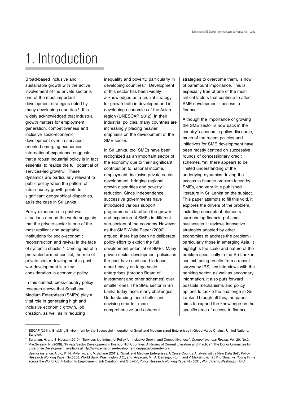## 1. Introduction

Broad-based inclusive and sustainable growth with the active involvement of the private sector is one of the most important development strategies opted by many developing countries.<sup>1</sup> It is widely acknowledged that industrial growth matters for employment generation, competitiveness and inclusive socio-economic development even in servicesoriented emerging economies; international experience suggests that a robust industrial policy is in fact essential to realize the full potential of services-led growth.<sup>2</sup> These dynamics are particularly relevant to public policy when the pattern of intra-country growth points to significant geographical disparities, as is the case in Sri Lanka.

Policy experience in post-war situations around the world suggests that the private sector is one of the most resilient and adaptable institutions for socio-economic reconstruction and revival in the face of systemic shocks.<sup>3</sup> Coming out of a protracted armed conflict, the role of private sector development in postwar development is a key consideration in economic policy.

In this context, cross-country policy research shows that Small and Medium Enterprises (SMEs) play a vital role in generating high and inclusive economic growth, job creation, as well as in reducing

inequality and poverty, particularly in developing countries.<sup>4</sup> Development of this sector has been widely acknowledged as a crucial strategy for growth both in developed and in developing economies of the Asian region (UNESCAP, 2012). In their industrial policies, many countries are increasingly placing heavier emphasis on the development of the SME sector.

In Sri Lanka, too, SMEs have been recognized as an important sector of the economy due to their significant contribution to national income, employment, inclusive private sector development, bridging regional growth disparities and poverty reduction. Since independence, successive governments have introduced various support programmes to facilitate the growth and expansion of SMEs in different sub-sectors of the economy. However, as the SME White Paper (2002) argued, there has been no deliberate policy effort to exploit the full development potential of SMEs. Many private sector development policies in the past have continued to focus more heavily on large-scale enterprises (through Board of Investment and other schemes) over smaller ones. The SME sector in Sri Lanka today faces many challenges. Understanding these better and devising smarter, more comprehensive and coherent

strategies to overcome them, is now of paramount importance. This is especially true of one of the most critical factors that continue to affect SME development - access to finance.

Although the importance of growing the SME sector is now back in the country's economic policy discourse, much of the recent policies and initiatives for SME development have been mostly centred on successive rounds of concessionary credit schemes. Yet, there appears to be limited understanding of the underlying dynamics driving the access to finance problem faced by SMEs, and very little published literature in Sri Lanka on the subject. This paper attempts to fill this void. It explores the drivers of the problem, including conceptual elements surrounding financing of small businesses. It reviews innovative strategies adopted by other economies to address the problem particularly those in emerging Asia. It highlights the scale and nature of the problem specifically in the Sri Lankan context, using results from a recent survey by IPS, key interviews with the banking sector, as well as secondary information. It also puts forward possible mechanisms and policy options to tackle the challenge in Sri Lanka. Through all this, the paper aims to expand the knowledge on the specific area of access to finance

<sup>1</sup> ESCAP (2011), 'Enabling Environment for the Successful Integration of Small and Medium-sized Enterprises in Global Value Chains', United Nations: Bangkok.

<sup>&</sup>lt;sup>2</sup> Sulaman, H. and S. Hassan (2010), "Services-led Industrial Policy for Inclusive Growth and Competitiveness", Competitiveness Review, Vol. 20, No.2.

<sup>3</sup> MacSweeny, N. (2008), "Private Sector Development in Post-conflict Countries: A Review of Current Literature and Practice", The Donor Committee for Enterprise Development, available at http://www.enterprise-development.org/page/current-work.

<sup>4</sup> See for instance: Ardic, P., N. Mylenko, and V. Saltane (2011), "Small and Medium Enterprises: A Cross-Country Analysis with a New Data Set", Policy Research Working Paper No.5538, World Bank, Washington D.C.; and, Ayyagari, M., A. Demirguc-Kunt, and V. Maksimovic (2011), "Small vs. Young Firms across the World: Contribution to Employment, Job Creation, and Growth", Policy Research Working Paper No.5631, World Bank, Washington D.C.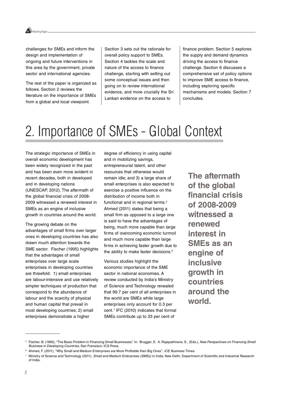

challenges for SMEs and inform the design and implementation of ongoing and future interventions in this area by the government, private sector and international agencies.

The rest of the paper is organized as follows. Section 2 reviews the literature on the importance of SMEs from a global and local viewpoint.

Section 3 sets out the rationale for overall policy support to SMEs. Section 4 tackles the scale and nature of the access to finance challenge, starting with setting out some conceptual issues and then going on to review international evidence, and more crucially the Sri Lankan evidence on the access to

finance problem. Section 5 explores the supply and demand dynamics driving the access to finance challenge. Section 6 discusses a comprehensive set of policy options to improve SME access to finance, including exploring specific mechanisms and models. Section 7 concludes.

## 2. Importance of SMEs - Global Context

The strategic importance of SMEs in overall economic development has been widely recognized in the past and has been even more evident in recent decades, both in developed and in developing nations (UNESCAP, 2012). The aftermath of the global financial crisis of 2008- 2009 witnessed a renewed interest in SMEs as an engine of inclusive growth in countries around the world.

The growing debate on the advantages of small firms over larger ones in developing countries has also drawn much attention towards the SME sector. Fischer (1995) highlights that the advantages of small enterprises over large scale enterprises in developing countries are threefold: 1) small enterprises are labour-intensive and use relatively simpler techniques of production that correspond to the abundance of labour and the scarcity of physical and human capital that prevail in most developing countries; 2) small enterprises demonstrate a higher

degree of efficiency in using capital and in mobilizing savings, entrepreneurial talent, and other resources that otherwise would remain idle; and 3) a large share of small enterprises is also expected to exercise a positive influence on the distribution of income both in functional and in regional terms.<sup>5</sup> Ahmed (2011) states that being a small firm as opposed to a large one is said to have the advantages of being, much more capable than large firms of overcoming economic turmoil and much more capable than large firms in achieving faster growth due to the ability to make faster decisions.<sup>6</sup>

Various studies highlight the economic importance of the SME sector in national economies. A review conducted by India's Ministry of Science and Technology revealed that 99.7 per cent of all enterprises in the world are SMEs while large enterprises only account for 0.3 per cent.7 IFC (2010) indicates that formal SMEs contribute up to 33 per cent of

**The aftermath of the global financial crisis of 2008-2009 witnessed a renewed interest in SMEs as an engine of inclusive growth in countries around the world.**

<sup>&</sup>lt;sup>5</sup> Fischer, B. (1995), "The Basic Problem in Financing Small Businesses". In: Brugger, E. A. Rajapathirana. S., (Eds.), New Perspectives on Financing Small Business in Developing Countries, San Fransisco: ICS Press.

<sup>&</sup>lt;sup>6</sup> Ahmed, F. (2011), "Why Small and Medium Enterprises are More Profitable than Big Ones", ICE Business Times.

Ministry of Science and Technology (2011), Small and Medium Enterprises (SMEs) in India, New Delhi, Department of Scientific and Industrial Research of India.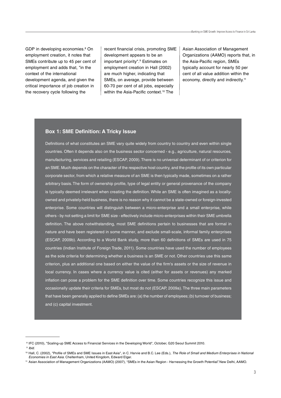GDP in developing economies.<sup>8</sup> On employment creation, it notes that SMEs contribute up to 45 per cent of employment and adds that, "in the context of the international development agenda, and given the critical importance of job creation in the recovery cycle following the

recent financial crisis, promoting SME development appears to be an important priority".<sup>9</sup> Estimates on employment creation in Hall (2002) are much higher, indicating that SMEs, on average, provide between 60-70 per cent of all jobs, especially within the Asia-Pacific context.<sup>10</sup> The

Asian Association of Management Organizations (AAMO) reports that, in the Asia-Pacific region, SMEs typically account for nearly 50 per cent of all value addition within the economy, directly and indirectly.<sup>11</sup>

#### **Box 1: SME Definition: A Tricky Issue**

Definitions of what constitutes an SME vary quite widely from country to country and even within single countries. Often it depends also on the business sector concerned - e.g., agriculture, natural resources, manufacturing, services and retailing (ESCAP, 2009). There is no universal determinant of or criterion for an SME. Much depends on the character of the respective host country, and the profile of its own particular corporate sector, from which a relative measure of an SME is then typically made, sometimes on a rather arbitrary basis. The form of ownership profile, type of legal entity or general provenance of the company is typically deemed irrelevant when creating the definition. While an SME is often imagined as a locallyowned and privately-held business, there is no reason why it cannot be a state-owned or foreign-invested enterprise. Some countries will distinguish between a micro-enterprise and a small enterprise, while others - by not setting a limit for SME size - effectively include micro-enterprises within their SME umbrella definition. The above notwithstanding, most SME definitions pertain to businesses that are formal in nature and have been registered in some manner, and exclude small-scale, informal family enterprises (ESCAP, 2009b). According to a World Bank study, more than 60 definitions of SMEs are used in 75 countries (Indian Institute of Foreign Trade, 2011). Some countries have used the number of employees as the sole criteria for determining whether a business is an SME or not. Other countries use this same criterion, plus an additional one based on either the value of the firm's assets or the size of revenue in local currency. In cases where a currency value is cited (either for assets or revenues) any marked inflation can pose a problem for the SME definition over time. Some countries recognize this issue and occasionally update their criteria for SMEs, but most do not (ESCAP, 2009a). The three main parameters that have been generally applied to define SMEs are: (a) the number of employees; (b) turnover of business; and (c) capital investment.

<sup>8</sup> IFC (2010), "Scaling-up SME Access to Financial Services in the Developing World", October, G20 Seoul Summit 2010.

<sup>9</sup> Ibid.

<sup>&</sup>lt;sup>10</sup> Hall, C. (2002), "Profile of SMEs and SME Issues in East Asia", in C. Harvie and B.C. Lee (Eds.), The Role of Small and Medium Enterprises in National Economies in East Asia. Cheltenham, United Kingdom, Edward Elgar.

<sup>11</sup> Asian Association of Management Organizations (AAMO) (2007), "SMEs in the Asian Region - Harnessing the Growth Potential". New Delhi, AAMO.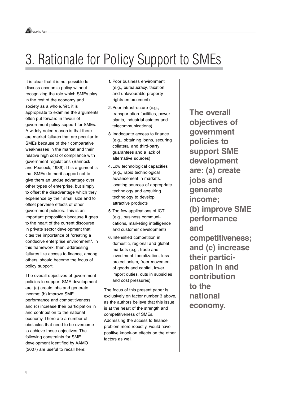## 3. Rationale for Policy Support to SMEs

It is clear that it is not possible to discuss economic policy without recognizing the role which SMEs play in the rest of the economy and society as a whole. Yet, it is appropriate to examine the arguments often put forward in favour of government policy support for SMEs. A widely noted reason is that there are market failures that are peculiar to SMEs because of their comparative weaknesses in the market and their relative high cost of compliance with government regulations (Bannock and Peacock, 1989). This argument is that SMEs do merit support not to give them an undue advantage over other types of enterprise, but simply to offset the disadvantage which they experience by their small size and to offset perverse effects of other government policies. This is an important proposition because it goes to the heart of the current discourse in private sector development that cites the importance of "creating a conducive enterprise environment". In this framework, then, addressing failures like access to finance, among others, should become the focus of policy support.

The overall objectives of government policies to support SME development are: (a) create jobs and generate income; (b) improve SME performance and competitiveness; and (c) increase their participation in and contribution to the national economy. There are a number of obstacles that need to be overcome to achieve these objectives. The following constraints for SME development identified by AAMO (2007) are useful to recall here:

- 1. Poor business environment (e.g., bureaucracy, taxation and unfavourable property rights enforcement)
- 2.Poor infrastructure (e.g., transportation facilities, power plants, industrial estates and telecommunications)
- 3.Inadequate access to finance (e.g., obtaining loans, securing collateral and third-party guarantees and a lack of alternative sources)
- 4.Low technological capacities (e.g., rapid technological advancement in markets, locating sources of appropriate technology and acquiring technology to develop attractive products
- 5.Too few applications of ICT (e.g., business communications, marketing intelligence and customer development)
- 6.Intensified competition in domestic, regional and global markets (e.g., trade and investment liberalization, less protectionism, freer movement of goods and capital, lower import duties, cuts in subsidies and cost pressures).

The focus of this present paper is exclusively on factor number 3 above, as the authors believe that this issue is at the heart of the strength and competitiveness of SMEs. Addressing the access to finance problem more robustly, would have positive knock-on effects on the other factors as well.

**The overall objectives of government policies to support SME development are: (a) create jobs and generate income; (b) improve SME performance and competitiveness; and (c) increase their participation in and contribution to the national economy.**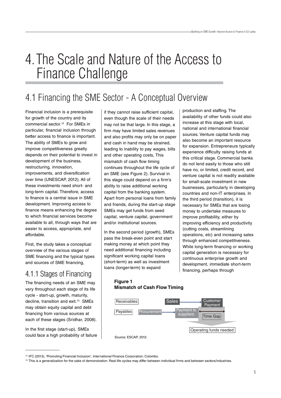## 4.The Scale and Nature of the Access to Finance Challenge

### 4.1 Financing the SME Sector - A Conceptual Overview

Financial inclusion is a prerequisite for growth of the country and its commercial sector.12 For SMEs in particular, financial inclusion through better access to finance is important. The ability of SMEs to grow and improve competitiveness greatly depends on their potential to invest in development of the business, restructuring, innovation, improvements, and diversification over time (UNESCAP, 2012). All of these investments need short- and long-term capital. Therefore, access to finance is a central issue in SME development. Improving access to finance means enhancing the degree to which financial services become available to all, through ways that are easier to access, appropriate, and affordable.

First, the study takes a conceptual overview of the various stages of SME financing and the typical types and sources of SME financing,

### 4.1.1 Stages of Financing

The financing needs of an SME may vary throughout each stage of its life cycle - start-up, growth, maturity, decline, transition and exit.<sup>13</sup> SMEs may obtain equity capital and debt financing from various sources at each of these stages (Sridhar, 2008).

In the first stage (start-up), SMEs could face a high probability of failure if they cannot raise sufficient capital, even though the scale of their needs may not be that large. In this stage, a firm may have limited sales revenues and also profits may only be on paper and cash in hand may be strained, leading to inability to pay wages, bills and other operating costs, This mismatch of cash flow timing continues throughout the life cycle of an SME (see Figure 2). Survival in this stage could depend on a firm's ability to raise additional working capital from the banking system. Apart from personal loans from family and friends, during the start-up stage SMEs may get funds from seed capital, venture capital, government and/or institutional sources.

In the second period (growth), SMEs pass the break-even point and start making money at which point they need additional financing including significant working capital loans (short-term) as well as investment loans (longer-term) to expand

for expansion. Entrepreneurs typically experience difficulty raising funds at this critical stage. Commercial banks do not lend easily to those who still have no, or limited, credit record, and venture capital is not readily available for small-scale investment in new businesses, particularly in developing countries and non-IT enterprises. In the third period (transition), it is necessary for SMEs that are losing money to undertake measures to improve profitability, either by improving efficiency and productivity (cutting costs, streamlining operations, etc) and increasing sales through enhanced competitiveness. While long-term financing or working capital generation is necessary for continuous enterprise growth and development, immediate short-term financing, perhaps through

production and staffing. The

availability of other funds could also increase at this stage with local, national and international financial sources. Venture capital funds may also become an important resource

#### **Figure 1 Mismatch of Cash Flow Timing**



<sup>12</sup> IFC (2013), 'Promoting Financial Inclusion', International Finance Corporation: Colombo.

<sup>&</sup>lt;sup>13</sup> This is a generalization for the sake of demonstration. Real life cycles may differ between individual firms and between sectors/industries.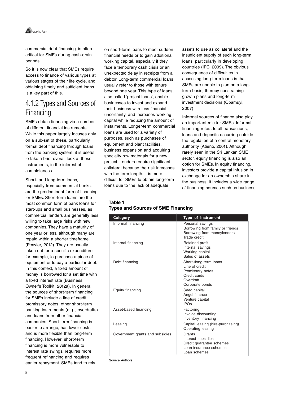Working Paper

commercial debt financing, is often critical for SMEs during cash-drain periods.

So it is now clear that SMEs require access to finance of various types at various stages of their life cycle, and obtaining timely and sufficient loans is a key part of this.

### 4.1.2 Types and Sources of Financing

SMEs obtain financing via a number of different financial instruments. While this paper largely focuses only on a sub-set of these, particularly formal debt financing through loans from the banking system, it is useful to take a brief overall look at these instruments, in the interest of completeness.

Short- and long-term loans, especially from commercial banks, are the predominant form of financing for SMEs. Short-term loans are the most common form of bank loans for start-ups and small businesses, as commercial lenders are generally less willing to take large risks with new companies. They have a maturity of one year or less, although many are repaid within a shorter timeframe (Peavler, 2012). They are usually taken out for a specific expenditure, for example, to purchase a piece of equipment or to pay a particular debt. In this context, a fixed amount of money is borrowed for a set time with a fixed interest rate (Business Owner's Toolkit, 2012a). In general, the sources of short-term financing for SMEs include a line of credit, promissory notes, other short-term banking instruments (e.g. , overdrafts) and loans from other financial companies. Short-term financing is easier to arrange, has lower costs and is more flexible than long-term financing. However, short-term financing is more vulnerable to interest rate swings, requires more frequent refinancing and requires earlier repayment. SMEs tend to rely

on short-term loans to meet sudden financial needs or to gain additional working capital, especially if they face a temporary cash crisis or an unexpected delay in receipts from a debtor. Long-term commercial loans usually refer to those with tenure beyond one year. This type of loans, also called 'project loans', enable businesses to invest and expand their business with less financial uncertainty, and increases working capital while reducing the amount of instalments. Longer-term commercial loans are used for a variety of purposes, such as purchases of equipment and plant facilities, business expansion and acquiring specialty raw materials for a new project. Lenders require significant collateral because the risk increases with the term length. It is more difficult for SMEs to obtain long-term loans due to the lack of adequate

assets to use as collateral and the insufficient supply of such long-term loans, particularly in developing countries (IFC, 2009). The obvious consequence of difficulties in accessing long-term loans is that SMEs are unable to plan on a longterm basis, thereby constraining growth plans and long-term investment decisions (Obamuyi, 2007).

Informal sources of finance also play an important role for SMEs. Informal financing refers to all transactions, loans and deposits occurring outside the regulation of a central monetary authority (Atieno, 2001). Although rarely seen in the Sri Lankan SME sector, equity financing is also an option for SMEs. In equity financing, investors provide a capital infusion in exchange for an ownership share in the business. It includes a wide range of financing sources such as business

#### **Table 1 Types and Sources of SME Financing**

| Category                        | <b>Type of Instrument</b>                                                                                    |
|---------------------------------|--------------------------------------------------------------------------------------------------------------|
| Informal financing              | Personal savings<br>Borrowing from family or friends<br>Borrowing from moneylenders<br>Trade credit          |
| Internal financing              | Retained profit<br>Internal savings<br>Working capital<br>Sales of assets                                    |
| Debt financing                  | Short-/long-term loans<br>Line of credit<br>Promissory notes<br>Credit cards<br>Overdraft<br>Corporate bonds |
| Equity financing                | Seed capital<br>Angel finance<br>Venture capital<br><b>IPOs</b>                                              |
| Asset-based financing           | Factoring<br>Invoice discounting<br>Inventory financing                                                      |
| Leasing                         | Capital leasing (hire-purchasing)<br>Operating leasing                                                       |
| Government grants and subsidies | Grants<br>Interest subsidies<br>Credit quarantee schemes<br>Loan insurance schemes<br>Loan schemes           |

Source: Authors.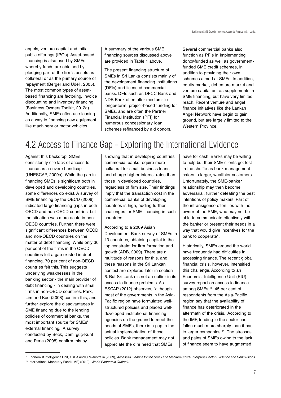angels, venture capital and initial public offerings (IPOs). Asset-based financing is also used by SMEs whereby funds are obtained by pledging part of the firm's assets as collateral or as the primary source of repayment (Berger and Udell, 2005). The most common types of assetbased financing are factoring, invoice discounting and inventory financing (Business Owners Toolkit, 2012a). Additionally, SMEs often use leasing as a way to financing new equipment like machinery or motor vehicles.

A summary of the various SME financing sources discussed above are provided in Table 1 above.

The present financing structure of SMEs in Sri Lanka consists mainly of the development financing institutions (DFIs) and licensed commercial banks. DFIs such as DFCC Bank and NDB Bank often offer medium- to longer-term, project-based funding for SMEs, and are often the Partner Financial Institution (PFI) for numerous concessionary loan schemes refinanced by aid donors.

Several commercial banks also function as PFIs in implementing donor-funded as well as governmentfunded SME credit schemes, in addition to providing their own schemes aimed at SMEs. In addition, equity market, debenture market and venture capital act as supplements in SME financing, but have very limited reach. Recent venture and angel finance initiatives like the Lankan Angel Network have begin to gain ground, but are largely limited to the Western Province.

### 4.2 Access to Finance Gap - Exploring the International Evidence

Against this backdrop, SMEs consistently cite lack of access to finance as a severe handicap (UNESCAP, 2009a). While the gap in financing SMEs is significant both in developed and developing countries, some differences do exist. A survey of SME financing by the OECD (2006) indicated large financing gaps in both OECD and non-OECD countries, but the situation was more acute in non-OECD countries. Further, there were significant differences between OECD and non-OECD countries on the matter of debt financing. While only 30 per cent of the firms in the OECD countires felt a gap existed in debt financing, 70 per cent of non-OECD countries felt this. This suggests underlying weaknesses in the banking sector - the main provider of debt financing - in dealing with small firms in non-OECD countries. Park, Lim and Koo (2008) confirm this, and further explore the disadvantages in SME financing due to the lending policies of commercial banks, the most important source for SMEs' external financing. A survey conducted by Beck, Demirgüç-Kunt and Peria (2008) confirm this by

showing that in developing countries, commercial banks require more collateral for small business loans and charge higher interest rates than those in developed countries, regardless of firm size. Their findings imply that the transaction cost in the commercial banks of developing countries is high, adding further challenges for SME financing in such countries.

According to a 2009 Asian Development Bank survey of SMEs in 13 countries, obtaining capital is the top constraint for firm formation and growth (ADB, 2009). There are a multitude of reasons for this, and these reasons in the Sri Lankan context are explored later in section 6. But Sri Lanka is not an outlier in its access to finance problems. As ESCAP (2012) observes, "although most of the governments in the Asia-Pacific region have formulated wellstructured policies and placed welldeveloped institutional financing agencies on the ground to meet the needs of SMEs, there is a gap in the actual implementation of these policies. Bank management may not appreciate the dire need that SMEs

have for cash. Banks may be willing to help but their SME clients get lost in the shuffle as bank management caters to larger, wealthier customers. Unfortunately, the SME-banker relationship may then become adversarial, further defeating the best intentions of policy makers. Part of the intransigence often lies with the owner of the SME, who may not be able to communicate effectively with the banker or present their needs in a way that would give incentives for the bank to cooperate".

Historically, SMEs around the world have frequently had difficulties in accessing finance. The recent global financial crisis, however, intensified this challenge. According to an Economist Intelligence Unit (EIU) survey report on access to finance among SMEs,<sup>14</sup> 45 per cent of respondents from the Asia-Pacific region say that the availability of finance has deteriorated in the aftermath of the crisis. According to the IMF, lending to the sector has fallen much more sharply than it has to larger companies.<sup>15</sup> The stresses and pains of SMEs owing to the lack of finance seem to have augmented

<sup>&</sup>lt;sup>14</sup> Economist Intelligence Unit, ACCA and CPA Australia (2009), Access to Finance for the Small and Medium Sized Enterprise Sector Evidence and Conclusions. <sup>15</sup> International Monetary Fund (IMF) (2012), World Economic Outlook.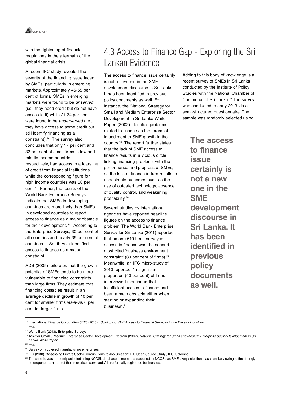

with the tightening of financial regulations in the aftermath of the global financial crisis.

A recent IFC study revealed the severity of the financing issue faced by SMEs, particularly in emerging markets. Approximately 45-55 per cent of formal SMEs in emerging markets were found to be unserved (i.e., they need credit but do not have access to it) while 21-24 per cent were found to be underserved (i.e., they have access to some credit but still identify financing as a constraint).16 The survey also concludes that only 17 per cent and 32 per cent of small firms in low and middle income countries, respectively, had access to a loan/line of credit from financial institutions, while the corresponding figure for high income countries was 50 per cent.17 Further, the results of the World Bank Enterprise Surveys indicate that SMEs in developing countries are more likely than SMEs in developed countries to report access to finance as a major obstacle for their development.<sup>18</sup> According to the Enterprise Surveys, 30 per cent of all countries and nearly 35 per cent of countries in South Asia identified access to finance as a major constraint.

ADB (2009) reiterates that the growth potential of SMEs tends to be more vulnerable to financing constraints than large firms. They estimate that financing obstacles result in an average decline in growth of 10 per cent for smaller firms vis-à-vis 6 per cent for larger firms.

### 4.3 Access to Finance Gap - Exploring the Sri Lankan Evidence

The access to finance issue certainly is not a new one in the SME development discourse in Sri Lanka. It has been identified in previous policy documents as well. For instance, the 'National Strategy for Small and Medium Enterprise Sector Development in Sri Lanka White Paper' (2002) identifies problems related to finance as the foremost impediment to SME growth in the country.19 The report further states that the lack of SME access to finance results in a vicious circle linking financing problems with the performance and progress of SMEs, as the lack of finance in turn results in undesirable outcomes such as the use of outdated technology, absence of quality control, and weakening profitability.20

Several studies by international agencies have reported headline figures on the access to finance problem. The World Bank Enterprise Survey for Sri Lanka (2011) reported that among 610 firms surveyed, access to finance was the secondmost cited 'business environment constraint' (30 per cent of firms).<sup>21</sup> Meanwhile, an IFC micro-study of 2010 reported, "a significant proportion (40 per cent) of firms interviewed mentioned that insufficient access to finance had been a main obstacle either when starting or expanding their business".<sup>22</sup>

Adding to this body of knowledge is a recent survey of SMEs in Sri Lanka conducted by the Institute of Policy Studies with the National Chamber of Commerce of Sri Lanka.<sup>23</sup> The survey was conducted in early 2013 via a semi-structured questionnaire. The sample was randomly selected using

> **The access to finance issue certainly is not a new one in the SME development discourse in Sri Lanka. It has been identified in previous policy documents as well.**

<sup>16</sup> International Finance Corporation (IFC) (2010), Scaling-up SME Access to Financial Services in the Developing World.  $17$  Ibid

<sup>&</sup>lt;sup>18</sup> World Bank (2013), Enterprise Surveys.

<sup>&</sup>lt;sup>19</sup> Task for Small & Medium Enterprise Sector Development Program (2002), National Strategy for Small and Medium Enterprise Sector Development in Sri Lanka, White Paper.

 $20$  Ibid.

<sup>&</sup>lt;sup>21</sup> Survey only covered manufacturing enterprises.

<sup>22</sup> IFC (2010), 'Assessing Private Sector Contributions to Job Creation: IFC Open Source Study', IFC: Colombo.

<sup>23</sup> The sample was randomly selected using NCCSL database of members classified by NCCSL as SMEs. Any selection bias is unlikely owing to the strongly heterogeneous nature of the enterprises surveyed. All are formally registered businesses.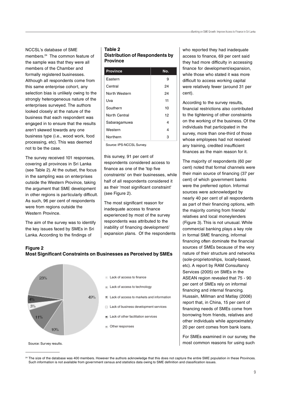NCCSL's database of SME members.24 The common feature of the sample was that they were all members of the Chamber and formally registered businesses. Although all respondents come from this same enterprise cohort, any selection bias is unlikely owing to the strongly heterogeneous nature of the enterprises surveyed. The authors looked closely at the nature of the business that each respondent was engaged in to ensure that the results aren't skewed towards any one business type (i.e., wood work, food processing, etc). This was deemed not to be the case.

The survey received 101 responses, covering all provinces in Sri Lanka (see Table 2). At the outset, the focus in the sampling was on enterprises outside the Western Province, taking the argument that SME development in other regions is particularly difficult. As such, 96 per cent of respondents were from regions outside the Western Province.

The aim of the survey was to identify the key issues faced by SMEs in Sri Lanka. According to the findings of

**Figure 2**

#### **Table 2 Distribution of Respondents by Province**

| <b>Province</b> | No. |
|-----------------|-----|
| Eastern         | 9   |
| Central         | 24  |
| North Western   | 24  |
| Uva             | 11  |
| Southern        | 10  |
| North Central   | 12  |
| Sabaragamuwa    | 4   |
| Western         | 4   |
| Northern        | з   |

Source: IPS-NCCSL Survey.

this survey, 91 per cent of respondents considered access to finance as one of the 'top five constraints' on their businesses, while half of all respondents considered it as their 'most significant constraint' (see Figure 2).

The most significant reason for inadequate access to finance experienced by most of the survey respondents was attributed to the inability of financing development/ expansion plans. Of the respondents who reported they had inadequate access to finance, 69 per cent said they had more difficulty in accessing finance for development/expansion, while those who stated it was more difficult to access working capital were relatively fewer (around 31 per cent).

According to the survey results, financial restrictions also contributed to the tightening of other constraints on the working of the business. Of the individuals that participated in the survey, more than one-third of those whose employees had not received any training, credited insufficient finances as the main reason for it.

The majority of respondents (60 per cent) noted that formal channels were their main source of financing (37 per cent) of which government banks were the preferred option. Informal sources were acknowledged by nearly 40 per cent of all respondents as part of their financing options, with the majority coming from friends/ relatives and local moneylenders (Figure 3). This is not unusual. While commercial banking plays a key role in formal SME financing, informal financing often dominate the financial sources of SMEs because of the very nature of their structure and networks (sole-proprietorships, locally-based, etc). A report by RAM Consultancy Services (2005) on SMEs in the ASEAN region revealed that 75 - 90 per cent of SMEs rely on informal financing and internal financing. Hussain, Millman and Matlay (2006) report that, in China, 15 per cent of financing needs of SMEs come from borrowing from friends, relatives and other individuals while approximately 20 per cent comes from bank loans.

For SMEs examined in our survey, the most common reasons for using such

**Most Significant Constraints on Businesses as Perceived by SMEs**

Source: Survey results.

<sup>24</sup> The size of the database was 400 members. However the authors acknowledge that this does not capture the entire SME population in these Provinces. Such information is not available from government census and statistics data owing to SME definition and classification issues.

**Lack of access to finance** 23% Lack of access to technology 49% **Lack of access to markets and information** 3% Lack of business development services  $\blacksquare$  Lack of other facilitation services 11% Other responses 10%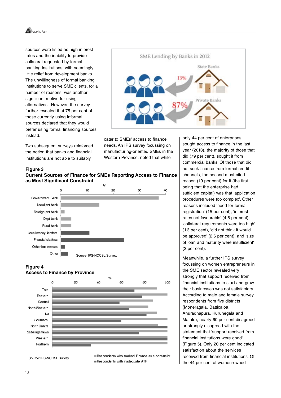

sources were listed as high interest rates and the inability to provide collateral requested by formal banking institutions, with seemingly little relief from development banks. The unwillingness of formal banking institutions to serve SME clients, for a number of reasons, was another significant motive for using alternatives. However, the survey further revealed that 75 per cent of those currently using informal sources declared that they would prefer using formal financing sources instead.

Two subsequent surveys reinforced the notion that banks and financial institutions are not able to suitably



cater to SMEs' access to finance needs. An IPS survey focussing on manufacturing-oriented SMEs in the Western Province, noted that while

#### **Figure 3 Current Sources of Finance for SMEs Reporting Access to Finance as Most Significant Constraint**



#### **Figure 4**



only 44 per cent of enterprises sought access to finance in the last year (2013), the majority of those that did (79 per cent), sought it from commercial banks. Of those that did not seek finance from formal credit channels, the second most-cited reason (19 per cent) for it (the first being that the enterprise had sufficient capital) was that 'application procedures were too complex'. Other reasons included 'need for formal registration' (15 per cent), 'interest rates not favourable' (4.6 per cent), 'collateral requirements were too high' (1.3 per cent), 'did not think it would be approved' (2.6 per cent), and 'size of loan and maturity were insufficient' (2 per cent).

Meanwhile, a further IPS survey focussing on women entrepreneurs in the SME sector revealed very strongly that support received from financial institutions to start and grow their businesses was not satisfactory. According to male and female survey respondents from five districts (Moneragala, Batticaloa, Anuradhapura, Kurunegala and Matale), nearly 60 per cent disagreed or strongly disagreed with the statement that 'support received from financial institutions were good' (Figure 5). Only 20 per cent indicated satisfaction about the services received from financial institutions. Of the 44 per cent of women-owned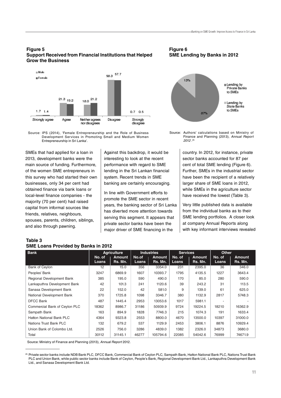#### **Figure 5 Support Received from Financial Institutions that Helped Grow the Business**





SMEs that had applied for a loan in 2013, development banks were the main source of funding. Furthermore, of the women SME entrepreneurs in this survey who had started their own businesses, only 34 per cent had obtained finance via bank loans or local-level finance companies - the majority (70 per cent) had raised capital from informal sources like friends, relatives, neighbours, spouses, parents, children, siblings, and also through pawning.

Against this backdrop, it would be interesting to look at the recent performance with regard to SME lending in the Sri Lankan financial system. Recent trends in SME banking are certainly encouraging.

In line with Government efforts to promote the SME sector in recent years, the banking sector of Sri Lanka has diverted more attention towards serving this segment. It appears that private sector banks have been the major driver of SME financing in the

**Figure 6 SME Lending by Banks in 2012**



Source: Authors' calculations based on Ministry of Finance and Planning (2013), Annual Report 2012 . 25

country. In 2012, for instance, private sector banks accounted for 87 per cent of total SME lending (Figure 6). Further, SMEs in the industrial sector have been the recipient of a relatively larger share of SME loans in 2012, while SMEs in the agriculture sector have received the lowest (Table 3).

Very little published data is available from the individual banks as to their SME lending portfolios. A closer look at company Annual Reports along with key informant interviews revealed

#### **Table 3 SME Loans Provided by Banks in 2012**

| <b>Bank</b>                   | <b>Agriculture</b> |                          | <b>Industries</b> |                          | <b>Services</b> |                   | <b>Other</b>    |                          |
|-------------------------------|--------------------|--------------------------|-------------------|--------------------------|-----------------|-------------------|-----------------|--------------------------|
|                               | No. of<br>Loans    | <b>Amount</b><br>Rs. Mn. | No.of<br>Loans    | <b>Amount</b><br>Rs. Mn. | No. of<br>Loans | Amount<br>Rs. Mn. | No. of<br>Loans | <b>Amount</b><br>Rs. Mn. |
| <b>Bank of Ceylon</b>         | 12                 | 15.0                     | 356               | 3354.0                   | 231             | 2395.0            | 36              | 346.0                    |
| Peoples' Bank                 | 3247               | 6869.9                   | 1607              | 10393.7                  | 1795            | 4135.5            | 1227            | 3643.4                   |
| Regional Development Bank     | 385                | 195.0                    | 590               | 490.0                    | 170             | 85.0              | 280             | 590.0                    |
| Lankaputhra Development Bank  | 42                 | 101.3                    | 241               | 1120.6                   | 39              | 243.2             | 31              | 113.5                    |
| Sanasa Development Bank       | 22                 | 152.0                    | 42                | 581.0                    | 9               | 139.0             | 61              | 625.0                    |
| National Development Bank     | 370                | 1725.8                   | 1098              | 3346.7                   | 380             | 1132.9            | 2817            | 5748.3                   |
| <b>DFCC Bank</b>              | 487                | 1445.4                   | 2953              | 13053.6                  | 1017            | 5981.1            |                 |                          |
| Commercial Bank of Ceylon PLC | 18362              | 8986.7                   | 31186             | 50939.9                  | 9724            | 19224.5           | 18210           | 16362.9                  |
| Sampath Bank                  | 163                | 894.9                    | 1828              | 7746.3                   | 215             | 1074.3            | 191             | 1633.4                   |
| Hatton National Bank PLC      | 4364               | 9323.8                   | 2553              | 8800.0                   | 4670            | 13500.0           | 10397           | 31000.0                  |
| Nations Trust Bank PLC        | 132                | 679.2                    | 537               | 1129.9                   | 2453            | 3806.1            | 8876            | 10929.4                  |
| Union Bank of Colombo Ltd.    | 2526               | 756.0                    | 3286              | 4839.0                   | 1382            | 2326.0            | 34873           | 3680.0                   |
| Total                         | 30112              | 31145.1                  | 46277             | 105794.6                 | 22085           | 54042.6           | 76999           | 74671.9                  |

Source: Ministry of Finance and Planning (2013), Annual Report 2012.

<sup>25</sup> Private sector banks include NDB Bank PLC, DFCC Bank, Commercial Bank of Ceylon PLC, Sampath Bank, Hatton National Bank PLC, Nations Trust Bank PLC and Union Bank, while public sector banks include Bank of Ceylon, People's Bank, Regional Development Bank Ltd., Lankaputhra Development Bank Ltd., and Sanasa Development Bank Ltd.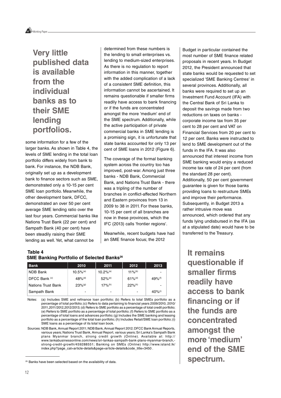

**Very little published data is available from the individual banks as to their SME lending portfolios.**

some information for a few of the larger banks. As shown in Table 4, the levels of SME lending in the total loan portfolio differs widely from bank to bank. For instance, the NDB Bank, originally set up as a development bank to finance sectors such as SME, demonstrated only a 10-15 per cent SME loan portfolio. Meanwhile, the other development bank, DFCC, demonstrated an over 50 per cent average SME lending ratio over the last four years. Commercial banks like Nations Trust Bank (22 per cent) and Sampath Bank (40 per cent) have been steadily raising their SME lending as well. Yet, what cannot be

determined from these numbers is the lending to small enterprises vs. lending to medium-sized enterprises. As there is no regulation to report information in this manner, together with the added complication of a lack of a consistent SME definition, this information cannot be ascertained. It remains questionable if smaller firms readily have access to bank financing or if the funds are concentrated amongst the more 'medium' end of the SME spectrum. Additionally, while the active participation of private commercial banks in SME lending is a promising sign, it is unfortunate that state banks accounted for only 13 per cent of SME loans in 2012 (Figure 6).

The coverage of the formal banking system across the country too has improved, post-war. Among just three banks - NDB Bank, Commercial Bank, and Nations Trust Bank - there was a tripling of the number of branches in conflict-affected Northern and Eastern provinces from 13 in 2009 to 38 in 2011. For these banks, 10-15 per cent of all branches are now in these provinces, which the IFC (2013) calls 'frontier regions'.

Meanwhile, recent budgets have had an SME finance focus; the 2012

#### **Table 4 SME Banking Portfolio of Selected Banks<sup>26</sup>**

| <b>Bank</b>               | 2010                    | 2011                    | 2012                  | 2013                     |
|---------------------------|-------------------------|-------------------------|-----------------------|--------------------------|
| NDB Bank                  | $10.5\%$ <sup>(a)</sup> | $10.2\%$ <sup>(a)</sup> | $11\%$ <sup>(b)</sup> | $\overline{\phantom{0}}$ |
| DFCC Bank (c)             | $48%$ <sup>(d)</sup>    | $52\%$ <sup>(e)</sup>   | $61\%$ <sup>(d)</sup> | $49%$ <sup>(f)</sup>     |
| <b>Nations Trust Bank</b> | $23%$ <sup>(g)</sup>    | $17\%$ <sup>(h)</sup>   | $22\%$ <sup>(h)</sup> | $\overline{\phantom{a}}$ |
| Sampath Bank              | -                       | -                       |                       | $40\%$ <sup>(i)</sup>    |

Notes: (a) Includes SME and refinance loan portfolio; (b) Refers to total SMEs portfolio as a percentage of total portfolio; (c) Refers to data pertaining to financial years 2009/2010, 2010/ 2011,2011/2012,2012/2013; (d) Refers to SME portfolio as a percentage of total credit portfolio; (e) Refers to SME portfolio as a percentage of total portfolio; (f) Refers to SME portfolio as a percentage of total loans and advances portfolio; (g) Includes the SME banking and leasing portfolio as a percentage of the total loan portfolio; (h) Includes Retail/SME loan portfolio; (i) SME loans as a percentage of its total loan book.

Sources: NDB Bank, Annual Report 2011; NDB Bank, Annual Report 2012; DFCC Bank Annual Reports, various years; Nations Trust Bank, Annual Report, various years; Sri Lanka's Sampath Bank plans Myanmar branch, strong credit growth (Online). Available at: http:// www.lankabusinessonline.com/news/sri-lankas-sampath-bank-plans-myanmar-branch, strong-credit-growth/459288551; Banking on SMEs (Online) http://www.island.lk/ index.php?page\_cat=article-details&page=article-details&code\_title=3450 .

Budget in particular contained the most number of SME finance related proposals in recent years. In Budget 2012, the President announced that state banks would be requested to set specialized 'SME Banking Centres' in several provinces. Additionally, all banks were required to set up an Investment Fund Account (IFA) with the Central Bank of Sri Lanka to deposit the savings made from two reductions on taxes on banks corporate income tax from 35 per cent to 28 per cent and VAT on Financial Services from 20 per cent to 12 per cent. Banks were instructed to lend to SME development out of the funds in the IFA. It was also announced that interest income from SME banking would enjoy a reduced income tax rate of 24 per cent (from the standard 28 per cent). Additionally, 50 per cent government guarantee is given for those banks providing loans to restructure SMEs and improve their performance. Subsequently, in Budget 2013 a rather intrusive move was announced, which ordered that any funds lying undisbursed in the IFA (as at a stipulated date) would have to be transferred to the Treasury.

**It remains questionable if smaller firms readily have access to bank financing or if the funds are concentrated amongst the more 'medium' end of the SME spectrum.**

<sup>&</sup>lt;sup>25</sup> Banks have been selected based on the availability of data.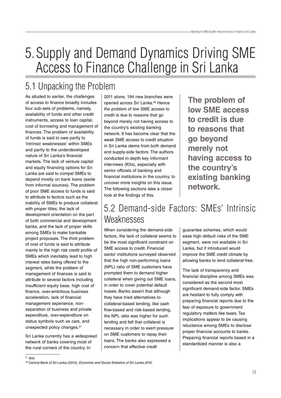## 5.Supply and Demand Dynamics Driving SME Access to Finance Challenge in Sri Lanka

### 5.1 Unpacking the Problem

As alluded to earlier, the challenges of access to finance broadly includes four sub-sets of problems, namely, availability of funds and other credit instruments, access to loan capital, cost of borrowing and management of finances. The problem of availability of funds is said to owe partly to 'intrinsic weaknesses' within SMEs and partly to the underdeveloped nature of Sri Lanka's financial markets. The lack of venture capital and equity financing options for Sri Lanka are said to compel SMEs to depend mostly on bank loans (aside from informal sources). The problem of poor SME access to funds is said to attribute to factors such as the inability of SMEs to produce collateral with proper titles, the lack of development orientation on the part of both commercial and development banks, and the lack of proper skills among SMEs to make bankable project proposals. The third problem of cost of funds is said to attribute mainly to the high risk credit profile of SMEs which inevitably lead to high interest rates being offered to the segment, while the problem of management of finances is said to attribute to several factors including insufficient equity base, high cost of finance, over-ambitious business acceleration, lack of financial management experience, nonseparation of business and private expenditure, over-expenditure on status symbols such as cars, and unexpected policy changes.<sup>27</sup>

Sri Lanka currently has a widespread network of banks covering most of the rural corners of the country. In

2011 alone, 194 new branches were opened across Sri Lanka.<sup>28</sup> Hence the problem of low SME access to credit is due to reasons that go beyond merely not having access to the country's existing banking network. It has become clear that the weak SME access to credit situation in Sri Lanka stems from both demand and supply-side factors. The authors conducted in-depth key informant interviews (KIIs), especially with senior officials of banking and financial institutions in the country, to uncover more insights on this issue. The following sections take a closer look at the findings of this.

**The problem of low SME access to credit is due to reasons that go beyond merely not having access to the country's existing banking network.**

### 5.2 Demand-side Factors: SMEs' Intrinsic **Weaknesses**

When considering the demand-side factors, the lack of collateral seems to be the most significant constraint on SME access to credit. Financial sector institutions surveyed observed that the high non-performing loans (NPL) ratio of SME customers have prompted them to demand higher collateral when giving out SME loans, in order to cover potential default losses. Banks assert that although they have tried alternatives to collateral-based lending, like cash flow-based and risk-based lending, the NPL ratio was higher for such lending and felt that collateral is necessary in order to exert pressure on SME customers to repay their loans. The banks also expressed a concern that effective credit

guarantee schemes, which would ease high default risks of the SME segment, were not available in Sri Lanka, but if introduced would improve the SME credit climate by allowing banks to lend collateral-free.

The lack of transparency and financial discipline among SMEs was considered as the second most significant demand-side factor. SMEs are hesitant to fully comply with preparing financial reports due to the fear of exposure to government regulatory matters like taxes. Tax implications appear to be causing reluctance among SMEs to disclose proper financial accounts to banks. Preparing financial reports based in a standardized manner is also a

 $27$  Ibid.

<sup>&</sup>lt;sup>28</sup> Central Bank of Sri Lanka (2012), Economic and Social Statistics of Sri Lanka 2012.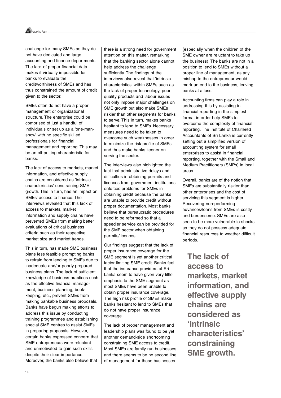

challenge for many SMEs as they do not have dedicated and large accounting and finance departments. The lack of proper financial data makes it virtually impossible for banks to evaluate the creditworthiness of SMEs and has thus constrained the amount of credit given to the sector.

SMEs often do not have a proper management or organizational structure. The enterprise could be comprised of just a handful of individuals or set up as a 'one-manshow' with no specific skilled professionals for financial management and reporting. This may be an off-putting characteristic for banks.

The lack of access to markets, market information, and effective supply chains are considered as 'intrinsic characteristics' constraining SME growth. This in turn, has an impact on SMEs' access to finance. The interviews revealed that this lack of access to markets, market information and supply chains have prevented SMEs from making better evaluations of critical business criteria such as their respective market size and market trends.

This in turn, has made SME business plans less feasible prompting banks to refrain from lending to SMEs due to inadequate and/or poorly-prepared business plans. The lack of sufficient knowledge of business practices such as the effective financial management, business planning, bookkeeping, etc., prevent SMEs from making bankable business proposals. Banks have begun making efforts to address this issue by conducting training programmes and establishing special SME centres to assist SMEs in preparing proposals. However, certain banks expressed concern that SME entrepreneurs were reluctant and unmotivated to gain such skills despite their clear importance. Moreover, the banks also believe that

there is a strong need for government attention on this matter, remarking that the banking sector alone cannot help address the challenge sufficiently. The findings of the interviews also reveal that 'intrinsic characteristics' within SMEs such as the lack of proper technology, poor quality products and labour issues not only impose major challenges on SME growth but also make SMEs riskier than other segments for banks to serve. This in turn, makes banks hesitant to lend to SMEs. Necessary measures need to be taken to overcome such weaknesses in order to minimize the risk profile of SMEs and thus make banks keener on serving the sector.

The interviews also highlighted the fact that administrative delays and difficulties in obtaining permits and licences from government institutions enforces problems for SMEs in obtaining credit because the banks are unable to provide credit without proper documentation. Most banks believe that bureaucratic procedures need to be reformed so that a speedier service can be provided for the SME sector when obtaining permits/licences.

Our findings suggest that the lack of proper insurance coverage for the SME segment is yet another critical factor limiting SME credit. Banks feel that the insurance providers of Sri Lanka seem to have given very little emphasis to the SME segment as most SMEs have been unable to obtain proper insurance coverage. The high risk profile of SMEs make banks hesitant to lend to SMEs that do not have proper insurance coverage.

The lack of proper management and leadership plans was found to be yet another demand-side shortcoming constraining SME access to credit. Most SMEs are family run businesses and there seems to be no second line of management for these businesses

(especially when the children of the SME owner are reluctant to take up the business). The banks are not in a position to lend to SMEs without a proper line of management, as any mishap to the entrepreneur would mark an end to the business, leaving banks at a loss.

Accounting firms can play a role in addressing this by assisting in financial reporting in the simplest format in order help SMEs to overcome the complexity of financial reporting. The Institute of Chartered Accountants of Sri Lanka is currently setting out a simplified version of accounting system for small enterprises to assist in financial reporting, together with the Small and Medium Practitioners (SMPs) in local areas.

Overall, banks are of the notion that SMEs are substantially riskier than other enterprises and the cost of servicing this segment is higher. Recovering non-performing advances/loans from SMEs is costly and burdensome. SMEs are also seen to be more vulnerable to shocks as they do not possess adequate financial resources to weather difficult periods.

**The lack of access to markets, market information, and effective supply chains are considered as 'intrinsic characteristics' constraining SME growth.**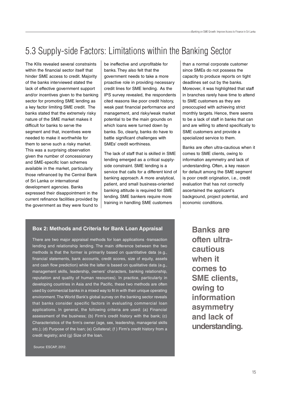### 5.3 Supply-side Factors: Limitations within the Banking Sector

The KIIs revealed several constraints within the financial sector itself that hinder SME access to credit. Majority of the banks interviewed stated the lack of effective government support and/or incentives given to the banking sector for promoting SME lending as a key factor limiting SME credit. The banks stated that the extremely risky nature of the SME market makes it difficult for banks to serve the segment and that, incentives were needed to make it worthwhile for them to serve such a risky market. This was a surprising observation given the number of concessionary and SME-specific loan schemes available in the market, particularly those refinanced by the Central Bank of Sri Lanka or international development agencies. Banks expressed their disappointment in the current refinance facilities provided by the government as they were found to be ineffective and unprofitable for banks. They also felt that the government needs to take a more proactive role in providing necessary credit lines for SME lending. As the IPS survey revealed, the respondents cited reasons like poor credit history, weak past financial performance and management, and risky/weak market potential to be the main grounds on which loans were turned down by banks. So, clearly, banks do have to battle significant challenges with SMEs' credit worthiness.

The lack of staff that is skilled in SME lending emerged as a critical supplyside constraint. SME lending is a service that calls for a different kind of banking approach. A more analytical, patient, and small business-oriented banking attitude is required for SME lending. SME bankers require more training in handling SME customers

than a normal corporate customer since SMEs do not possess the capacity to produce reports on tight deadlines set out by the banks. Moreover, it was highlighted that staff in branches rarely have time to attend to SME customers as they are preoccupied with achieving strict monthly targets. Hence, there seems to be a lack of staff in banks that can and are willing to attend specifically to SME customers and provide a specialized service to them.

Banks are often ultra-cautious when it comes to SME clients, owing to information asymmetry and lack of understanding. Often, a key reason for default among the SME segment is poor credit origination, i.e., credit evaluation that has not correctly ascertained the applicant's background, project potential, and economic conditions.

#### **Box 2: Methods and Criteria for Bank Loan Appraisal**

There are two major appraisal methods for loan applications -transaction lending and relationship lending. The main difference between the two methods is that the former is primarily based on quantitative data (e.g., financial statements, bank accounts, credit scores, size of equity, assets and cash flow prediction) while the latter is based on qualitative data (e.g., management skills, leadership, owners' characters, banking relationship, reputation and quality of human resources). In practice, particularly in developing countries in Asia and the Pacific, these two methods are often used by commercial banks in a mixed way to fit in with their unique operating environment. The World Bank's global survey on the banking sector reveals that banks consider specific factors in evaluating commercial loan applications. In general, the following criteria are used: (a) Financial assessment of the business; (b) Firm's credit history with the bank; (c) Characteristics of the firm's owner (age, sex, leadership, managerial skills etc.); (d) Purpose of the loan; (e) Collateral; (f ) Firm's credit history from a credit registry; and (g) Size of the loan.

**Banks are often ultracautious when it comes to SME clients, owing to information asymmetry and lack of understanding.**

Source: ESCAP, 2012.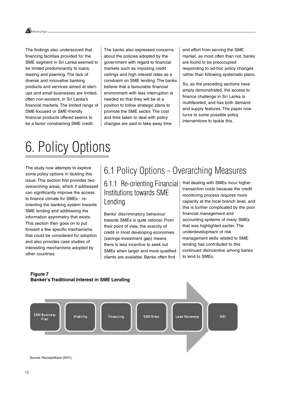Working Paper

The findings also underscored that financing facilities provided for the SME segment in Sri Lanka seemed to be limited predominantly to loans, leasing and pawning. The lack of diverse and innovative banking products and services aimed at startups and small businesses are limited, often non-existent, in Sri Lanka's financial markets. The limited range of SME-focused or SME-friendly financial products offered seems to be a factor constraining SME credit.

The banks also expressed concerns about the policies adopted by the government with regard to financial markets such as imposing credit ceilings and high interest rates as a constraint on SME lending. The banks believe that a favourable financial environment with less interruption is needed so that they will be at a position to follow strategic plans to promote the SME sector. The cost and time taken to deal with policy changes are said to take away time

and effort from serving the SME market, as most often than not, banks are found to be preoccupied responding to ad-hoc policy changes rather than following systematic plans.

So, as the preceding sections have amply demonstrated, the access to finance challenge in Sri Lanka is multifaceted, and has both demand and supply features. The paper now turns to some possible policy interventions to tackle this.

## 6. Policy Options

The study now attempts to explore some policy options in tackling this issue. This section first provides two overarching areas, which if addressed can significantly improve the access to finance climate for SMEs - reorienting the banking system towards SME lending and addressing the information asymmetry that exists. This section then goes on to put forward a few specific mechanisms that could be considered for adoption and also provides case studies of interesting mechanisms adopted by other countries.

### 6.1 Policy Options - Overarching Measures

6.1.1 Re-orienting Financial Institutions towards SME Lending

Banks' discriminatory behaviour towards SMEs is quite rational. From their point of view, the scarcity of credit in most developing economies (savings-investment gap) means there is less incentive to seek out SMEs when larger and more qualified clients are available. Banks often find

that dealing with SMEs incur higher transaction costs because the credit monitoring process requires more capacity at the local branch level, and this is further complicated by the poor financial management and accounting systems of many SMEs that was highlighted earlier. The underdevelopment of risk management skills related to SME lending has contributed to this continued disincentive among banks to lend to SMEs.

#### **Figure 7 Banker's Traditional Interest in SME Lending**

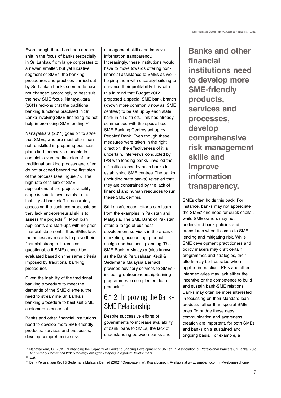Even though there has been a recent shift in the focus of banks (especially in Sri Lanka), from large corporates to a newer, smaller, but yet lucrative, segment of SMEs, the banking procedures and practices carried out by Sri Lankan banks seemed to have not changed accordingly to best suit the new SME focus. Nanayakkara (2011) reckons that the traditional banking functions practised in Sri Lanka involving SME financing do not help in promoting SME lending.29

Nanayakkara (2011) goes on to state that SMEs, who are most often than not, unskilled in preparing business plans find themselves unable to complete even the first step of the traditional banking process and often do not succeed beyond the first step of the process (see Figure 7). The high rate of failure of SME applications at the project viability stage is said to owe mainly to the inability of bank staff in accurately assessing the business proposals as they lack entrepreneurial skills to assess the projects.30 Most loan applicants are start-ups with no prior financial statements, thus SMEs lack the necessary records to prove their financial strength. It remains questionable if SMEs should be evaluated based on the same criteria imposed by traditional banking procedures.

Given the inability of the traditional banking procedure to meet the demands of the SME clientele, the need to streamline Sri Lanka's banking procedure to best suit SME customers is essential.

Banks and other financial institutions need to develop more SME-friendly products, services and processes, develop comprehensive risk

management skills and improve information transparency. Increasingly, these institutions would have to move towards offering nonfinancial assistance to SMEs as well helping them with capacity-building to enhance their profitability. It is with this in mind that Budget 2012 proposed a special SME bank branch (known more commonly now as 'SME centres') to be set up by each state bank in all districts. This has already commenced with the specialised SME Banking Centres set up by Peoples' Bank. Even though these measures were taken in the right direction, the effectiveness of it is uncertain. Interviews conducted by IPS with leading banks unveiled the difficulties faced by such banks in establishing SME centres. The banks (including state banks) revealed that they are constrained by the lack of financial and human resources to run these SME centres.

Sri Lanka's recent efforts can learn from the examples in Pakistan and Malaysia. The SME Bank of Pakistan offers a range of business development services in the areas of marketing, accounting, product design and business planning. The SME Bank in Malaysia (also known as the Bank Perusahaan Kecil & Sederhana Malaysia Berhad) provides advisory services to SMEs including entrepreneurship-training programmes to complement loan products.31

### 6.1.2 Improving the Bank-SME Relationship

Despite successive efforts of governments to increase availability of bank loans to SMEs, the lack of understanding between banks and

**Banks and other financial institutions need to develop more SME-friendly products, services and processes, develop comprehensive risk management skills and improve information transparency.**

SMEs often holds this back. For instance, banks may not appreciate the SMEs' dire need for quick capital, while SME owners may not understand bank policies and procedures when it comes to SME lending and mitigating risk. While SME development practitioners and policy makers may craft certain programmes and strategies, their efforts may be frustrated when applied in practice. PFIs and other intermediaries may lack either the incentive or the competence to build and sustain bank-SME relations. Banks may often be more interested in focussing on their standard loan products rather than special SME ones. To bridge these gaps, communication and awareness creation are important, for both SMEs and banks on a sustained and ongoing basis. For example, a

<sup>29</sup> Nanayakkara, G. (2011), "Enhancing the Capacity of Banks to Shaping Development of SMEs". In: Association of Professional Bankers Sri Lanka. 23rd Anniversary Convention 2011: Banking Foresight- Shaping Integrated Development.  $30$  Ibid.

<sup>31</sup> Bank Perusahaan Kecil & Sederhana Malaysia Berhad (2012),"Corporate Info", Kuala Lumpur. Available at www. smebank.com.my/web/guest/home.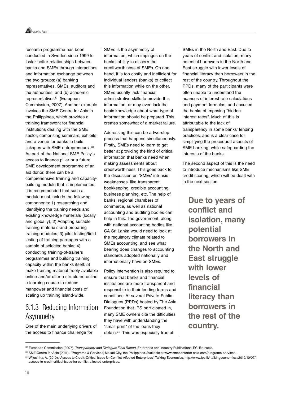

research programme has been conducted in Sweden since 1999 to foster better relationships between banks and SMEs through interactions and information exchange between the two groups: (a) banking representatives, SMEs, auditors and tax authorities; and (b) academic representatives<sup>32</sup> (European Commission, 2007). Another example involves the SME Centre for Asia in the Philippines, which provides a training framework for financial institutions dealing with the SME sector, comprising seminars, exhibits and a venue for banks to build linkages with SME entrepreneurs . 33 As part of the National SME Policy's access to finance pillar or a future SME development programme of an aid donor, there can be a comprehensive training and capacitybuilding module that is implemented. It is recommended that such a module must include the following components: 1) researching and identifying the training needs and existing knowledge materials (locally and globally); 2) Adapting suitable training materials and preparing training modules; 3) pilot testing/field testing of training packages with a sample of selected banks; 4) conducting training-of-trainers programmes and building training capacity within the banks itself; 5) make training material freely available online and/or offer a structured online e-learning course to reduce manpower and financial costs of scaling up training island-wide.

### 6.1.3 Reducing Information Asymmetry

One of the main underlying drivers of the access to finance challenge for

SMEs is the asymmetry of information, which impinges on the banks' ability to discern the creditworthiness of SMEs. On one hand, it is too costly and inefficient for individual lenders (banks) to collect this information while on the other, SMEs usually lack financial administrative skills to provide this information, or may even lack the basic knowledge about what type of information should be prepared. This creates somewhat of a market failure.

Addressing this can be a two-step process that happens simultaneously. Firstly, SMEs need to learn to get better at providing the kind of critical information that banks need when making assessments about creditworthiness. This goes back to the discussion on 'SMEs' intrinsic weaknesses' like transparent bookkeeping, credible accounting, business planning, etc. The help of banks, regional chambers of commerce, as well as national accounting and auditing bodies can help in this. The government, along with national accounting bodies like CA Sri Lanka would need to look at the regulatory climate related to SMEs accounting, and see what bearing does changes to accounting standards adopted nationally and internationally have on SMEs.

Policy intervention is also required to ensure that banks and financial institutions are more transparent and responsible in their lending terms and conditions. At several Private-Public Dialogues (PPDs) hosted by The Asia Foundation that IPS participated in, many SME owners cite the difficulties they have with understanding the "small print" of the loans they obtain.34 This was especially true of

SMEs in the North and East. Due to years of conflict and isolation, many potential borrowers in the North and East struggle with lower levels of financial literacy than borrowers in the rest of the country. Throughout the PPDs, many of the participants were often unable to understand the nuances of interest rate calculations and payment formulas, and accused the banks of imposing "hidden interest rates". Much of this is attributable to the lack of transparency in some banks' lending practices, and is a clear case for simplifying the procedural aspects of SME banking, while safeguarding the interests of the banks.

The second aspect of this is the need to introduce mechanisms like SME credit scoring, which will be dealt with in the next section.

**Due to years of conflict and isolation, many potential borrowers in the North and East struggle with lower levels of financial literacy than borrowers in the rest of the country.**

<sup>32</sup> European Commission (2007), Transparency and Dialogue: Final Report, Enterprise and Industry Publications. EC: Brussels.

<sup>33</sup> SME Centre for Asia (2011), "Programs & Services', Makati City, the Philippines. Available at www.smecenterfor asia.com/programs-services.

<sup>34</sup> Wijesinha, A. (2010), 'Access to Credit: Critical Issue for Conflict-Affected Enterprises', Talking Economics, http://www.ips.lk/ talkingeconomics /2010/10/07/ access-to-credit-critical-issue-for-conflict-affected-enterprises.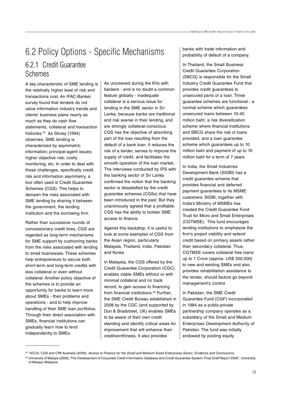### 6.2 Policy Options - Specific Mechanisms 6.2.1 Credit Guarantee Schemes

A key characteristic of SME lending is the relatively higher level of risk and transactions cost. An IFAC-Banker survey found that lenders do not value information industry trends and clients' business plans nearly as much as they do cash flow statements, collateral and transaction histories.<sup>35</sup> As Storey (1994) observes, SME lending is characterized by asymmetric information; principal-agent issues; higher objective risk; costly monitoring; etc. In order to deal with these challenges, specifically credit risk and information asymmetry, a tool often used is Credit Guarantee Schemes (CGS). This helps to dampen the risks associated with SME lending by sharing it between the government, the lending institution and the borrowing firm.

Rather than successive rounds of concessionary credit lines, CGS are regarded as long-term mechanisms for SME support by cushioning banks from the risks associated with lending to small businesses. These schemes help entrepreneurs to secure both short-term and long-term credits with less collateral or even without collateral. Another policy objective of the schemes is to provide an opportunity for banks to learn more about SMEs - their problems and operations - and to help improve handling of their SME loan portfolios. Through their direct association with SMEs, financial institutions can gradually learn how to lend independently to SMEs.

As uncovered during the KIIs with bankers - and is no doubt a common feature globally - inadequate collateral is a serious issue for lending in the SME sector in Sri Lanka, because banks are traditional and risk averse in their lending, and are strongly collateral-conscious. CGS has the objective of absorbing part of the loss resulting from the default of a bank loan. It reduces the risk of a lender, serves to improve the supply of credit, and facilitates the smooth operation of the loan market. The interviews conducted by IPS with the banking sector of Sri Lanka confirmed the notion that the banking sector is dissatisfied by the credit guarantee schemes (CGSs) that have been introduced in the past. But they unanimously agreed that a profitable CGS has the ability to bolster SME access to finance.

Against this backdrop, it is useful to look at some examples of CGS from the Asian region, particularly Malaysia, Thailand, India, Pakistan and Korea.

In Malaysia, the CGS offered by the Credit Guarantee Corporation (CGC) enables viable SMEs without or with minimal collateral and no track record, to gain access to financing from financial institutions.<sup>36</sup> Further, the SME Credit Bureau established in 2008 by the CGC (and supported by Dun & Bradstreet, UK) enables SMEs to be aware of their own credit standing and identify critical areas for improvement that will enhance their creditworthiness. It also provides

banks with trade information and probability of default of a company.

In Thailand, the Small Business Credit Guarantee Corporation (SBCG) is responsible for the Small Industry Credit Guarantee Fund that provides credit guarantees to unsecured parts of a loan. Three guarantee schemes are functional - a normal scheme which guarantees unsecured loans between 10-40 million baht, a risk diversification scheme where financial institutions and SBCG share the risk of loans provided, and a loan guarantee scheme which guarantees up to 10 million baht and payment of up to 10 million baht for a term of 7 years.

In India, the Small Industries Development Bank (SIDBI) has a credit guarantee scheme that provides financial and deferred payment guarantees to its MSME customers. SIDBI, together with India's Ministry of MSMEs has created the Credit Guarantee Fund Trust for Micro and Small Enterprises (CGTMSE). This fund encourages lending institutions to emphasize the firm's project viability and extend credit based on primary assets rather than secondary collateral. Thus, CGTMSE covers collateral free loans up to 1 Crore (approx. US\$ 200,000) to new and existing SMEs and also provides rehabilitation assistance to the lender, should factors go beyond management's control.

In Pakistan, the SME Credit Guarantee Fund (CGF) incorporated in 1984 as a public-private partnership company operates as a subsidiary of the Small and Medium Enterprises Development Authority of Pakistan. The fund was initially endowed by pooling equity

<sup>35 &</sup>quot;ACCA, CGA and CPA Australia (2009), Access to Finance for the Small and Medium Sized Enterprises Sector, Evidence and Conclusions.

<sup>36</sup> University of Malaya (2009), 'The Development of Corporate Credit Information Database and Credit Guarantee System: Final Draft Report 2009", University of Malaya: Malaysia.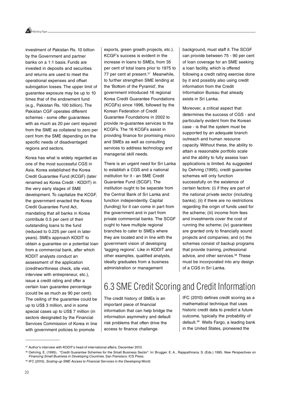Working Paper

investment of Pakistan Rs. 10 billion by the Government and partner banks on a 1:1 basis. Funds are invested in deposits and securities and returns are used to meet the operational expenses and offset subrogation losses. The upper limit of guarantee exposure may be up to 10 times that of the endowment fund (e.g., Pakistan Rs. 100 billion). The Pakistan CGF operates different schemes - some offer guarantees with as much as 20 per cent required from the SME as collateral to zero per cent from the SME depending on the specific needs of disadvantaged regions and sectors.

Korea has what is widely regarded as one of the most successful CGS in Asia. Korea established the Korea Credit Guarantee Fund (KCGF) (later renamed as Korea Credit - KODIT) in the very early stages of SME development. To capitalize the KCGF, the government enacted the Korea Credit Guarantee Fund Act, mandating that all banks in Korea contribute 0.5 per cent of their outstanding loans to the fund (reduced to 0.225 per cent in later years). SMEs approach KODIT to obtain a guarantee on a potential loan from a commercial bank, after which KODIT analysts conduct an assessment of the application (creditworthiness check, site visit, interview with entrepreneur, etc.), issue a credit rating and offer a certain loan guarantee percentage (could be as much as 90 per cent). The ceiling of the guarantee could be up to US\$ 3 million, and in some special cases up to US\$ 7 million (in sectors designated by the Financial Services Commission of Korea in line with government policies to promote

exports, green growth projects, etc.). KCGF's success is evident in the increase in loans to SMEs, from 35 per cent of total loans prior to 1975 to 77 per cent at present.<sup>37</sup> Meanwhile, to further strengthen SME lending at the 'Bottom of the Pyramid', the government introduced 16 regional Korea Credit Guarantee Foundations (KCGFs) since 1996, followed by the Korean Federation of Credit Guarantee Foundations in 2002 to provide re-guarantee services to the KCGFs. The 16 KCGFs assist in providing finance for promising micro and SMEs as well as consulting services to address technology and managerial skill needs.

There is an urgent need for Sri Lanka to establish a CGS and a national institution for it - an SME Credit Guarantee Fund (SCGF). The institution ought to be separate from the Central Bank of Sri Lanka and function independently. Capital (funding) for it can come in part from the government and in part from private commercial banks. The SCGF ought to have multiple regional branches to cater to SMEs where they are located and in line with the government vision of developing 'lagging regions'. Like in KODIT and other examples, qualified analysts, ideally graduates from a business administration or management

background, must staff it. The SCGF can provide between 75 - 90 per cent of loan coverage for an SME seeking a loan facility, which is offered following a credit rating exercise done by it and possibly also using credit information from the Credit Information Bureau that already exists in Sri Lanka.

Moreover, a critical aspect that determines the success of CGS - and particularly evident from the Korean case - is that the system must be supported by an adequate branch outreach and human resource capacity. Without these, the ability to attain a reasonable portfolio scale and the ability to fully assess loan applications is limited. As suggested by Oehring (1995), credit guarantee schemes will only function successfully on the existence of certain factors: (i) if they are part of the national private sector (including banks); (ii) if there are no restrictions regarding the origin of funds used for the scheme; (iii) income from fees and investments cover the cost of running the scheme; (iv) guarantees are granted only to financially sound projects and companies; and (v) the schemes consist of backup programs that provide training, professional advice, and other services.<sup>38</sup> These must be incorporated into any design of a CGS in Sri Lanka.

### 6.3 SME Credit Scoring and Credit Information

The credit history of SMEs is an important piece of financial information that can help bridge the information asymmetry and default risk problems that often drive the access to finance challenge.

IFC (2010) defines credit scoring as a mathematical technique that uses historic credit data to predict a future outcome, typically the probability of default.39 Wells Fargo, a leading bank in the United States, pioneered the

<sup>&</sup>lt;sup>37</sup> Author's interview with KODIT's head of international affairs, December 2013.

<sup>38</sup> Oehring, E. (1995), "Credit Guarantee Schemes for the Small Business Sector". In: Brugger. E. A., Rajapathirana. S. (Eds.) 1995, New Perspectives on Financing Small Business in Developing Countries, San Fransisco: ICS Press.

<sup>39</sup> IFC (2010), Scaling-up SME Access to Financial Services in the Developing World.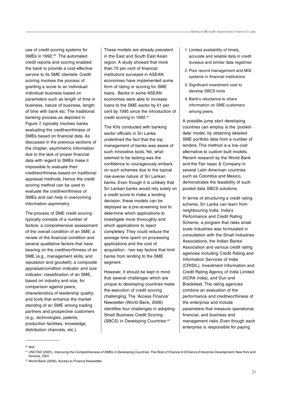use of credit scoring systems for SMEs in 1992.<sup>40</sup> The automated credit reports and scoring enabled the bank to provide a cost-effective service to its SME clientele. Credit scoring involves the process of granting a score to an individual/ individual business based on parameters such as length of time in business, nature of business, length of time with bank etc. The traditional banking process as depicted in Figure 7, typically involves banks evaluating the creditworthiness of SMEs based on financial data. As discussed in the previous sections of the chapter, asymmetric information due to the lack of proper financial data with regard to SMEs make it impossible to evaluate their creditworthiness based on traditional appraisal methods. Hence the credit scoring method can be used to evaluate the creditworthiness of SMEs and can help in overcoming information asymmetry.

The process of SME credit scoring typically consists of a number of factors: a comprehensive assessment of the overall condition of an SME; a review of the financial condition and several qualitative factors that have bearing on the creditworthiness of an SME (e.g., management skills; and reputation and goodwill); a composite appraisal/condition indicator and size indicator; classification of an SME, based on industry and size, for comparison against peers; characteristics of leadership quality; and tools that enhance the market standing of an SME among trading partners and prospective customers (e.g., technologies, patents, production facilities, knowledge, distribution channels, etc.).

These models are already prevalent in the East and South East Asian region. A study showed that more than 70 per cent of financial institutions surveyed in ASEAN economies have implemented some form of rating or scoring for SME loans. Banks in some ASEAN economies were able to increase loans to the SME sector by 61 per cent by 1995 since the introduction of credit scoring in 1992.41

The KIIs conducted with banking sector officials in Sri Lanka underlined the fact that the top management of banks was aware of such innovative tools. Yet, what seemed to be lacking was the confidence to courageously embark on such schemes due to the typical risk-averse nature of Sri Lankan banks. Even though it is unlikely that Sri Lankan banks would rely solely on a credit score to make a lending decision, these models can be deployed as a pre-screening tool to determine which applications to investigate more thoroughly and which applications to reject completely. They could reduce the average time spent on processing applications and the cost of acquisition - two key factors that limit banks from lending to the SME segment.

However, it should be kept in mind that several challenges which are unique to developing countries make the execution of credit scoring challenging. The 'Access Finance' Newsletter (World Bank, 2006) identifies four challenges in adopting Small Business Credit Scoring (SBCS) in Developing Countries:42

- 1. Limited availability of timely, accurate and reliable data in credit bureaus and similar data registries
- 2. Poor record management and MIS systems in financial institutions
- 3. Significant investment cost to develop SBCS tools
- 4. Bank's reluctance to share information on SME customers among peers.

A possible jump start developing countries can employ is the 'pooleddata' model, by obtaining detailed SME portfolio data from a number of lenders. This method is a low cost alternative to custom built models. Recent research by the World Bank and the Fair Isaac & Company in several Latin American countries such as Colombia and Mexico, demonstrates the feasibility of such pooled data SBCS solutions.

In terms of structuring a credit rating scheme, Sri Lanka can learn from neighbouring India. India's Performance and Credit Rating Scheme, a program that rates small scale industries was formulated in consultation with the Small Industries Associations, the Indian Banks' Association and various credit rating agencies including Credit Rating and Information Services of India (CRISIL), Investment Information and Credit Rating Agency of India Limited (IICRA India), and Dun and Bradstreet. The rating agencies combine an evaluation of the performance and creditworthiness of the enterprise and include parameters that measure operational, financial, and business and management risks. Even though each enterprise is responsible for paying

<sup>40</sup> Ibid.

<sup>&</sup>lt;sup>41</sup> UNCTAD (2001), Improving the Competitiveness of SMEs in Developing Countries: The Role of Finance to Enhance Enterprise Development, New York and Geneva, 2001.

<sup>42</sup> World Bank (2006), Access to Finance Newsletter.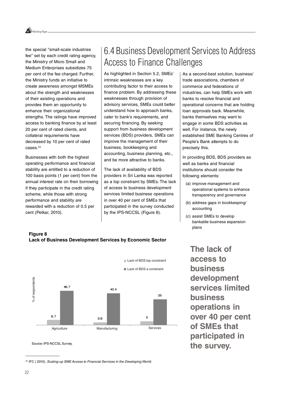Working Paper

the special "small-scale industries fee" set by each credit rating agency, the Ministry of Micro Small and Medium Enterprises subsidizes 75 per cent of the fee charged. Further, the Ministry funds an initiative to create awareness amongst MSMEs about the strength and weaknesses of their existing operations and provides them an opportunity to enhance their organizational strengths. The ratings have improved access to banking finance by at least 20 per cent of rated clients, and collateral requirements have decreased by 10 per cent of rated cases.43

Businesses with both the highest operating performance and financial stability are entitled to a reduction of 100 basis points (1 per cent) from the annual interest rate on their borrowing if they participate in the credit rating scheme, while those with strong performance and stability are rewarded with a reduction of 0.5 per cent (Petkar, 2010).

### 6.4 Business Development Services to Address Access to Finance Challenges

As highlighted in Section 5.2, SMEs' intrinsic weaknesses are a key contributing factor to their access to finance problem. By addressing these weaknesses through provision of advisory services, SMEs could better understand how to approach banks, cater to bank's requirements, and securing financing. By seeking support from business development services (BDS) providers, SMEs can improve the management of their business, bookkeeping and accounting, business planning, etc., and be more attractive to banks.

The lack of availability of BDS providers in Sri Lanka was reported as a top constraint by SMEs. The lack of access to business development services limited business operations in over 40 per cent of SMEs that participated in the survey conducted by the IPS-NCCSL (Figure 8).

As a second-best solution, business/ trade associations, chambers of commerce and federations of industries, can help SMEs work with banks to resolve financial and operational concerns that are holding loan approvals back. Meanwhile, banks themselves may want to engage in some BDS activities as well. For instance, the newly established SME Banking Centres of People's Bank attempts to do precisely this.

In providing BDS, BDS providers as well as banks and financial institutions should consider the following elements:

- (a) improve management and operational systems to enhance transparency and governance
- (b) address gaps in bookkeeping/ accounting
- (c) assist SMEs to develop bankable business expansion plans

**The lack of access to business development services limited business operations in over 40 per cent of SMEs that participated in the survey.**

#### **Figure 8 Lack of Business Development Services by Economic Sector**



Source: IPS-NCCSL Survey.

43 IFC (2010), Scaling-up SME Access to Financial Services in the Developing World.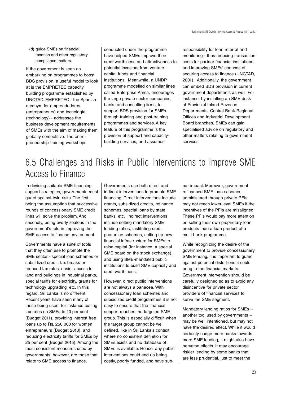(d) guide SMEs on financial, taxation and other regulatory compliance matters.

If the government is keen on embarking on programmes to boost BDS provision, a useful model to look at is the EMPRETEC capacity building programme established by UNCTAD. EMPRETEC - the Spanish acronym for emprendedores (entrepreneurs) and tecnología (technology) - addresses the business development requirements of SMEs with the aim of making them globally competitive. The entrepreneurship training workshops

conducted under the programme have helped SMEs improve their creditworthiness and attractiveness to potential investors from venture capital funds and financial institutions. Meanwhile, a UNDP programme modelled on similar lines called Enterprise Africa, encourages the large private sector companies, banks and consulting firms, to support BDS provision for SMEs through training and post-training programmes and services. A key feature of this programme is the provision of support and capacitybuilding services, and assumes

responsibility for loan referral and monitoring - thus reducing transaction costs for partner financial institutions and improving SMEs' chances of securing access to finance (UNCTAD, 2001). Additionally, the government can embed BDS provision in current government departments as well. For instance, by installing an SME desk at Provincial Inland Revenue Departments, Central Bank Regional Offices and Industrial Development Board branches, SMEs can gain specialised advice on regulatory and other matters relating to government services.

### 6.5 Challenges and Risks in Public Interventions to Improve SME Access to Finance

In devising suitable SME financing support strategies, governments must guard against twin risks. The first, being the assumption that successive rounds of concessionary SME credit lines will solve the problem. And secondly, being overly zealous in the government's role in improving the SME access to finance environment.

Governments have a suite of tools that they often use to promote the SME sector - special loan schemes or subsidized credit, tax breaks or reduced tax rates, easier access to land and buildings in industrial parks, special tariffs for electricity, grants for technology upgrading, etc. In this regard, Sri Lanka is no different. Recent years have seen many of these being used, for instance cutting tax rates on SMEs to 10 per cent (Budget 2011), providing interest free loans up to Rs. 250,000 for women entrepreneurs (Budget 2013), and reducing electricity tariffs for SMEs by 25 per cent (Budget 2015). Among the most consistent measures used by governments, however, are those that relate to SME access to finance.

Governments use both direct and indirect interventions to promote SME financing. Direct interventions include grants, subsidized credits, refinance schemes, special loans by state banks, etc. Indirect interventions include setting mandatory SME lending ratios, instituting credit guarantee schemes, setting up new financial infrastructure for SMEs to raise capital (for instance, a special SME board on the stock exchange). and using SME-mandated public institutions to build SME capacity and creditworthiness.

However, direct public interventions are not always a panacea. With concessionary loan schemes and subsidized credit programmes it is not easy to ensure that the financial support reaches the targeted SME group. This is especially difficult when the target group cannot be well defined, like in Sri Lanka's context where no consistent definition for SMEs exists and no database of SMEs is available. Hence, any public interventions could end up being costly, poorly funded, and have subpar impact. Moreover, government refinanced SME loan schemes administered through private PFIs may not reach lower-level SMEs if the incentives of the PFIs are misaligned. These PFIs would pay more attention on selling their own proprietary loan products than a loan product of a multi-bank programme.

While recognizing the desire of the government to provide concessionary SME lending, it is important to guard against potential distortions it could bring to the financial markets. Government intervention should be carefully designed so as to avoid any disincentive for private sector providers of financial services to serve the SME segment.

Mandatory lending ratios for SMEs - another tool used by governments - may be well intentioned, but may not have the desired effect. While it would certainly nudge more banks towards more SME lending, it might also have perverse effects. It may encourage riskier lending by some banks that are less prudential, just to meet the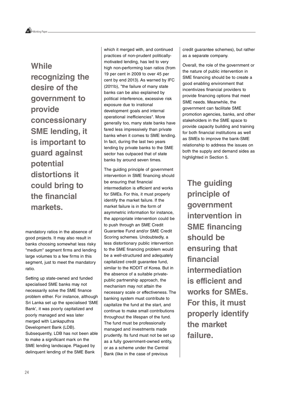### **While recognizing the desire of the government to provide concessionary SME lending, it is important to guard against potential distortions it could bring to the financial markets.**

mandatory ratios in the absence of good projects. It may also result in banks choosing somewhat less risky "medium" segment firms and lending large volumes to a few firms in this segment, just to meet the mandatory ratio.

Setting up state-owned and funded specialised SME banks may not necessarily solve the SME finance problem either. For instance, although Sri Lanka set up the specialised 'SME Bank', it was poorly capitalized and poorly managed and was later merged with Lankaputhra Development Bank (LDB). Subsequently, LDB has not been able to make a significant mark on the SME lending landscape. Plagued by delinquent lending of the SME Bank

which it merged with, and continued practices of non-prudent politicallymotivated lending, has led to very high non-performing loan ratios (from 19 per cent in 2009 to over 45 per cent by end 2013). As warned by IFC (2011b), "the failure of many state banks can be also explained by political interference, excessive risk exposure due to irrational development goals and internal operational inefficiencies". More generally too, many state banks have fared less impressively than private banks when it comes to SME lending. In fact, during the last two years lending by private banks to the SME sector has outpaced that of state banks by around seven times.

The guiding principle of government intervention in SME financing should be ensuring that financial intermediation is efficient and works for SMEs. For this, it must properly identify the market failure. If the market failure is in the form of asymmetric information for instance, the appropriate intervention could be to push through an SME Credit Guarantee Fund and/or SME Credit Scoring schemes. Undoubtedly, a less distortionary public intervention to the SME financing problem would be a well-structured and adequately capitalized credit guarantee fund, similar to the KODIT of Korea. But in the absence of a suitable privatepublic partnership approach, the mechanism may not attain the necessary scale or effectiveness. The banking system must contribute to capitalize the fund at the start, and continue to make small contributions throughout the lifespan of the fund. The fund must be professionally managed and investments made prudently. Its fund must not be set up as a fully government-owned entity, or as a scheme under the Central Bank (like in the case of previous

credit guarantee schemes), but rather as a separate company.

Overall, the role of the government or the nature of public intervention in SME financing should be to create a good enabling environment that incentivizes financial providers to provide financing options that meet SME needs. Meanwhile, the government can facilitate SME promotion agencies, banks, and other stakeholders in the SME space to provide capacity building and training for both financial institutions as well as SMEs to improve the bank-SME relationship to address the issues on both the supply and demand sides as highlighted in Section 5.

**The guiding principle of government intervention in SME financing should be ensuring that financial intermediation is efficient and works for SMEs. For this, it must properly identify the market failure.**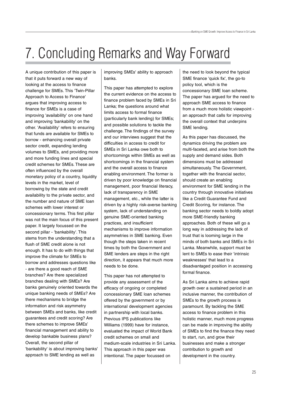## 7. Concluding Remarks and Way Forward

A unique contribution of this paper is that it puts forward a new way of looking at the access to finance challenge for SMEs. This 'Twin-Pillar Approach to Access to Finance' argues that improving access to finance for SMEs is a case of improving 'availability' on one hand and improving 'bankability' on the other. 'Availability' refers to ensuring that funds are available for SMEs to borrow - enhancing overall private sector credit, expanding lending volumes to SMEs, and providing more and more funding lines and special credit schemes for SMEs. These are often influenced by the overall monetary policy of a country, liquidity levels in the market, level of borrowing by the state and credit availability to the private sector, and the number and nature of SME loan schemes with lower interest or concessionary terms. This first pillar was not the main focus of this present paper. It largely focussed on the second pillar - 'bankability'. This stems from the understanding that a flush of SME credit alone is not enough. It has to do with things that improve the climate for SMEs to borrow and addresses questions like - are there a good reach of SME branches? Are there specialized branches dealing with SMEs? Are banks genuinely oriented towards the unique banking needs of SMEs? Are there mechanisms to bridge the information and risk asymmetry between SMEs and banks, like credit guarantees and credit scoring? Are there schemes to improve SMEs' financial management and ability to develop bankable business plans? Overall, the second pillar of 'bankability' is about improving banks' approach to SME lending as well as

improving SMEs' ability to approach banks.

This paper has attempted to explore the current evidence on the access to finance problem faced by SMEs in Sri Lanka; the questions around what limits access to formal finance (particularly bank lending) for SMEs; and possible solutions to tackle the challenge. The findings of the survey and our interviews suggest that the difficulties in access to credit for SMEs in Sri Lanka owe both to shortcomings within SMEs as well as shortcomings in the financial system and the overall access to finance enabling environment. The former is driven by poor knowledge on financial management, poor financial literacy, lack of transparency in SME management, etc., while the latter is driven by a highly risk-averse banking system, lack of understanding on genuine SME-oriented banking practices, and insufficient mechanisms to improve information asymmetries in SME banking. Even though the steps taken in recent times by both the Government and SME lenders are steps in the right direction, it appears that much more needs to be done.

This paper has not attempted to provide any assessment of the efficacy of ongoing or completed concessionary SME loan schemes offered by the government or by international development agencies in partnership with local banks. Previous IPS publications like Williams (1999) have for instance, evaluated the impact of World Bank credit schemes on small and medium-scale industries in Sri Lanka. This approach in this paper was intentional. The paper focussed on

the need to look beyond the typical SME finance 'quick fix', the go-to policy tool, which is the concessionary SME loan scheme. The paper has argued for the need to approach SME access to finance from a much more holistic viewpoint an approach that calls for improving the overall context that underpins SME lending.

As this paper has discussed, the dynamics driving the problem are multi-faceted, and arise from both the supply and demand sides. Both dimensions must be addressed simultaneously. The Government, together with the financial sector, should create an enabling environment for SME lending in the country through innovative initiatives like a Credit Guarantee Fund and Credit Scoring, for instance. The banking sector needs to boldly adopt more SME-friendly banking approaches. Both of these will go a long way in addressing the lack of trust that is looming large in the minds of both banks and SMEs in Sri Lanka. Meanwhile, support must be lent to SMEs to ease their 'intrinsic weaknesses' that lead to a disadvantaged position in accessing formal finance.

As Sri Lanka aims to achieve rapid growth over a sustained period in an inclusive manner, the contribution of SMEs to the growth process is paramount. By tackling the SME access to finance problem in this holistic manner, much more progress can be made in improving the ability of SMEs to find the finance they need to start, run, and grow their businesses and make a stronger contribution to growth and development in the country.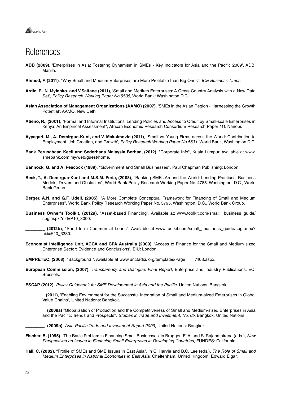

### **References**

- **ADB (2009)**, 'Enterprises in Asia: Fostering Dynamism in SMEs Key Indicators for Asia and the Pacific 2009', ADB: Manila.
- **Ahmed, F. (2011)**, "Why Small and Medium Enterprises are More Profitable than Big Ones". ICE Business Times.
- **Ardic, P., N. Mylenko, and V.Saltane (2011)**, 'Small and Medium Enterprises: A Cross-Country Analysis with a New Data Set', Policy Research Working Paper No.5538, World Bank: Washington D.C.
- **Asian Association of Management Organizations (AAMO) (2007)**, 'SMEs in the Asian Region Harnessing the Growth Potential', AAMO: New Delhi.
- **Atieno, R., (2001)**, "Formal and Informal Institutions' Lending Policies and Access to Credit by Small-scale Enterprises in Kenya: An Empirical Assessment", African Economic Research Consortium Research Paper 111. Nairobi.
- **Ayyagari, M., A. Demirguc-Kunt, and V. Maksimovic (2011)**, 'Small vs. Young Firms across the World: Contribution to Employment, Job Creation, and Growth', Policy Research Working Paper No.5631, World Bank, Washington D.C.
- **Bank Perusahaan Kecil and Sederhana Malaysia Berhad, (2012)**, "Corporate Info", Kuala Lumpur. Available at www. smebank.com.my/web/guest/home.
- **Bannock, G. and A. Peacock (1989)**, "Government and Small Businesses", Paul Chapman Publishing: London.
- **Beck, T., A. Demirguc-Kunt and M.S.M. Peria, (2008)**, "Banking SMEs Around the World: Lending Practices, Business Models, Drivers and Obstacles", World Bank Policy Research Working Paper No. 4785. Washington, D.C., World Bank Group.
- **Berger, A.N. and G.F. Udell, (2005)**, "A More Complete Conceptual Framework for Financing of Small and Medium Enterprises", World Bank Policy Research Working Paper No. 3795. Washington, D.C., World Bank Group.
- **Business Owner's Toolkit, (2012a)**, "Asset-based Financing". Available at: www.toolkit.com/small\_ business\_guide/ sbg.aspx?nid=P10\_3000.

**Economist Intelligence Unit, ACCA and CPA Australia (2009)**, 'Access to Finance for the Small and Medium sized Enterprise Sector: Evidence and Conclusions', EIU: London.

**EMPRETEC, (2008)**, "Background ". Available at www.unctadxi. org/templates/Page\_\_\_\_7403.aspx.

- **European Commission, (2007)**, Transparency and Dialogue: Final Report, Enterprise and Industry Publications. EC: Brussels.
- **ESCAP (2012)**, Policy Guidebook for SME Development in Asia and the Pacific, United Nations: Bangkok.

**\_\_\_\_\_\_\_\_ (2011)**, 'Enabling Environment for the Successful Integration of Small and Medium-sized Enterprises in Global Value Chains', United Nations: Bangkok.

**\_\_\_\_\_\_\_\_ (2009a)** "Globalization of Production and the Competitiveness of Small and Medium-sized Enterprises in Asia and the Pacific: Trends and Prospects", Studies in Trade and Investment, No. 65. Bangkok, United Nations.

**\_\_\_\_\_\_\_\_ (2009b)**, Asia-Pacific Trade and Investment Report 2009, United Nations: Bangkok.

- **Fischer, B. (1995)**, 'The Basic Problem in Financing Small Businesses' in Brugger, E. A. and S. Rajapathirana (eds.), New Perspectives on Issues in Financing Small Enterprises in Developing Countries, FUNDES: Califorinia.
- **Hall, C. (2002)**, "Profile of SMEs and SME Issues in East Asia", in C. Harvie and B.C. Lee (eds.), The Role of Small and Medium Enterprises in National Economies in East Asia, Cheltenham, United Kingdom, Edward Elgar.

**\_\_\_\_\_\_\_\_ (2012b)**, "Short-term Commercial Loans". Available at www.toolkit.com/small\_ business\_guide/sbg.aspx? nid=P10\_3330.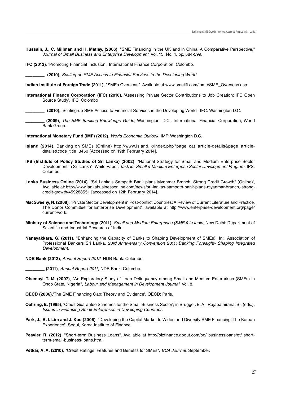**Hussain, J., C. Millman and H. Matlay, (2006)**, "SME Financing in the UK and in China: A Comparative Perspective," Journal of Small Business and Enterprise Development, Vol. 13, No. 4, pp. 584-599.

**IFC (2013)**, 'Promoting Financial Inclusion', International Finance Corporation: Colombo.

**\_\_\_\_\_\_\_\_ (2010)**, Scaling-up SME Access to Financial Services in the Developing World.

**Indian Institute of Foreign Trade (2011)**, "SMEs Overseas". Available at www.smeiift.com/ sme/SME\_Overseas.asp.

**International Finance Corporation (IFC) (2010)**, 'Assessing Private Sector Contributions to Job Creation: IFC Open Source Study', IFC, Colombo

**\_\_\_\_\_\_\_\_ (2010)**, 'Scaling-up SME Access to Financial Services in the Developing World', IFC: Washington D.C.

**\_\_\_\_\_\_\_\_ (2009)**, The SME Banking Knowledge Guide, Washington, D.C., International Financial Corporation, World Bank Group.

**International Monetary Fund (IMF) (2012),** World Economic Outlook, IMF: Washington D.C.

- **Island (2014)**, Banking on SMEs (Online) http://www.island.lk/index.php?page\_cat=article-details&page=articledetails&code\_title=3450 [Accessed on 19th February 2014].
- **IPS (Institute of Policy Studies of Sri Lanka) (2002)**, "National Strategy for Small and Medium Enterprise Sector Development in Sri Lanka", White Paper, Task for Small & Medium Enterprise Sector Development Program, IPS: Colombo.
- **Lanka Business Online (2014)**, "Sri Lanka's Sampath Bank plans Myanmar Branch, Strong Credit Growth" (Online)', Available at: http://www.lankabusinessonline.com/news/sri-lankas-sampath-bank-plans-myanmar-branch,-strongcredit-growth/459288551 [accessed on 12th February 2014].
- **MacSweeny, N. (2008)**, "Private Sector Development in Post-conflict Countries: A Review of Current Literature and Practice, The Donor Committee for Enterprise Development", available at http://www.enterprise-development.org/page/ current-work.
- **Ministry of Science and Technology (2011)**, Small and Medium Enterprises (SMEs) in India, New Delhi: Department of Scientific and Industrial Research of India.
- **Nanayakkara, G. (2011)**, "Enhancing the Capacity of Banks to Shaping Development of SMEs". In: Association of Professional Bankers Sri Lanka, 23rd Anniversary Convention 2011: Banking Foresight- Shaping Integrated Development.
- **NDB Bank (2012)**, Annual Report 2012, NDB Bank: Colombo.

**\_\_\_\_\_\_\_\_ (2011)**, Annual Report 2011, NDB Bank: Colombo.

- **Obamuyi, T. M. (2007)**, "An Exploratory Study of Loan Delinquency among Small and Medium Enterprises (SMEs) in Ondo State, Nigeria", Labour and Management in Development Journal, Vol. 8.
- **OECD (2006),**'The SME Financing Gap: Theory and Evidence', OECD: Paris.
- **Oehring, E. (1995)**, 'Credit Guarantee Schemes for the Small Business Sector', in Brugger. E. A., Rajapathirana. S., (eds.), Issues in Financing Small Enterprises in Developing Countries.
- **Park, J., B. I. Lim and J. Koo (2008)**, "Developing the Capital Market to Widen and Diversify SME Financing: The Korean Experience". Seoul, Korea Institute of Finance.
- **Peavler, R. (2012)**, "Short-term Business Loans". Available at http://bizfinance.about.com/od/ businessloans/qt/ shortterm-small-business-loans.htm.
- **Petkar, A. A. (2010)**, "Credit Ratings: Features and Benefits for SMEs", BCA Journal, September.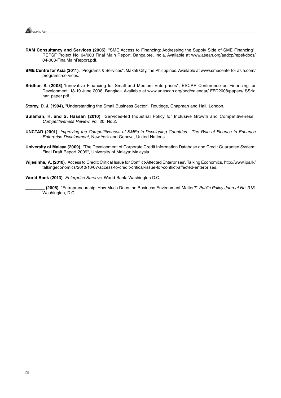

- **RAM Consultancy and Services (2005)**, "SME Access to Financing: Addressing the Supply Side of SME Financing", REPSF Project No. 04/003 Final Main Report. Bangalore, India. Available at www.asean.org/aadcp/repsf/docs/ 04-003-FinalMainReport.pdf.
- **SME Centre for Asia (2011)**, "Programs & Services". Makati City, the Philippines. Available at www.smecenterfor asia.com/ programs-services.
- **Sridhar, S. (2008)**,"Innovative Financing for Small and Medium Enterprises", ESCAP Conference on Financing for Development, 18-19 June 2008, Bangkok. Available at www.unescap.org/pdd/calendar/ FFD2008/papers/ SSrid har\_paper.pdf.
- **Storey, D. J. (1994)**, "Understanding the Small Business Sector", Routlege, Chapman and Hall, London.
- **Sulaman, H. and S. Hassan (2010)**, 'Services-led Industrial Policy for Inclusive Growth and Competitiveness', Competitiveness Review, Vol. 20, No.2.
- **UNCTAD (2001)**, Improving the Competitiveness of SMEs in Developing Countries The Role of Finance to Enhance Enterprise Development, New York and Geneva, United Nations.
- **University of Malaya (2009)**, "The Development of Corporate Credit Information Database and Credit Guarantee System: Final Draft Report 2009", University of Malaya: Malaysia.
- **Wijesinha, A. (2010)**, 'Access to Credit: Critical Issue for Conflict-Affected Enterprises', Talking Economics, http://www.ips.lk/ talkingeconomics/2010/10/07/access-to-credit-critical-issue-for-conflict-affected-enterprises.

**World Bank (2013)**, Enterprise Surveys, World Bank: Washington D.C.

**\_\_\_\_\_\_\_\_ (2006)**, "Entrepreneurship: How Much Does the Business Environment Matter?" Public Policy Journal No. 313, Washington, D.C.